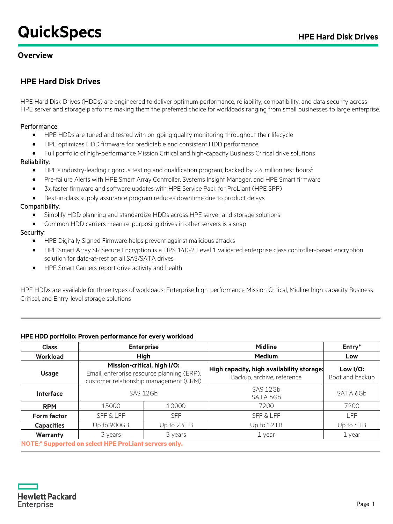# **QuickSpecs HPE Hard Disk Drives**

### **Overview**

### **HPE Hard Disk Drives**

HPE Hard Disk Drives (HDDs) are engineered to deliver optimum performance, reliability, compatibility, and data security across HPE server and storage platforms making them the preferred choice for workloads ranging from small businesses to large enterprise.

#### Performance:

- HPE HDDs are tuned and tested with on-going quality monitoring throughout their lifecycle
- HPE optimizes HDD firmware for predictable and consistent HDD performance
- Full portfolio of high-performance Mission Critical and high-capacity Business Critical drive solutions

#### Reliability:

- HPE's industry-leading rigorous testing and qualification program, backed by 2.4 million test hours<sup>1</sup>
- Pre-failure Alerts with HPE Smart Array Controller, Systems Insight Manager, and HPE Smart firmware
- 3x faster firmware and software updates with HPE Service Pack for ProLiant (HPE SPP)
- Best-in-class supply assurance program reduces downtime due to product delays

#### Compatibility:

- Simplify HDD planning and standardize HDDs across HPE server and storage solutions
- Common HDD carriers mean re-purposing drives in other servers is a snap

#### Security:

- HPE Digitally Signed Firmware helps prevent against malicious attacks
- HPE Smart Array SR Secure Encryption is a FIPS 140-2 Level 1 validated enterprise class controller-based encryption solution for data-at-rest on all SAS/SATA drives
- HPE Smart Carriers report drive activity and health

HPE HDDs are available for three types of workloads: Enterprise high-performance Mission Critical, Midline high-capacity Business Critical, and Entry-level storage solutions

#### **HPE HDD portfolio: Proven performance for every workload**

| <b>Class</b>       |                                                       | <b>Enterprise</b>                                                                                                   | <b>Midline</b>                                                          | Entry*                         |
|--------------------|-------------------------------------------------------|---------------------------------------------------------------------------------------------------------------------|-------------------------------------------------------------------------|--------------------------------|
| Workload           |                                                       | <b>High</b>                                                                                                         | <b>Medium</b>                                                           | Low                            |
| <b>Usage</b>       |                                                       | Mission-critical, high I/O:<br>Email, enterprise resource planning (ERP),<br>customer relationship management (CRM) | High capacity, high availability storage:<br>Backup, archive, reference | Low $I/O$ :<br>Boot and backup |
| Interface          |                                                       | SAS 12Gb                                                                                                            | SAS 12Gb<br>SATA 6Gb                                                    | SATA 6Gb                       |
| <b>RPM</b>         | 15000                                                 | 10000                                                                                                               | 7200                                                                    | 7200                           |
| <b>Form factor</b> | <b>SFF &amp; LFF</b>                                  | <b>SFF</b>                                                                                                          | <b>SFF &amp; LFF</b>                                                    | <b>LFF</b>                     |
| <b>Capacities</b>  | Up to 900GB                                           | Up to $2.4TB$                                                                                                       | Up to 12TB                                                              | Up to 4TB                      |
| <b>Warranty</b>    | 3 years                                               | 3 years                                                                                                             | 1 year                                                                  | 1 year                         |
|                    | NOTE:* Supported on select HPE ProLiant servers only. |                                                                                                                     |                                                                         |                                |

**NOTE:\* Supported on select HPE ProLiant servers only.**

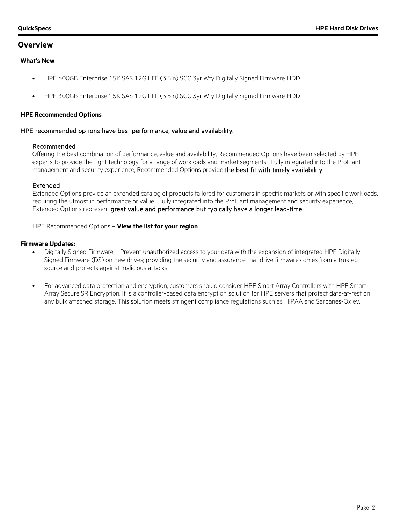#### **Overview**

#### **What's New**

- HPE 600GB Enterprise 15K SAS 12G LFF (3.5in) SCC 3yr Wty Digitally Signed Firmware HDD
- HPE 300GB Enterprise 15K SAS 12G LFF (3.5in) SCC 3yr Wty Digitally Signed Firmware HDD

#### **HPE Recommended Options**

#### HPE recommended options have best performance, value and availability.

#### Recommended

Offering the best combination of performance, value and availability, Recommended Options have been selected by HPE experts to provide the right technology for a range of workloads and market segments. Fully integrated into the ProLiant management and security experience, Recommended Options provide the best fit with timely availability.

#### Extended

Extended Options provide an extended catalog of products tailored for customers in specific markets or with specific workloads, requiring the utmost in performance or value. Fully integrated into the ProLiant management and security experience, Extended Options represent great value and performance but typically have a longer lead-time.

HPE Recommended Options – **[View the list for your region](http://h41112.www4.hpe.com/Recommended-Products-Program/overview.html)**

#### **Firmware Updates:**

- Digitally Signed Firmware Prevent unauthorized access to your data with the expansion of integrated HPE Digitally Signed Firmware (DS) on new drives; providing the security and assurance that drive firmware comes from a trusted source and protects against malicious attacks.
- For advanced data protection and encryption, customers should consider HPE Smart Array Controllers with HPE Smart Array Secure SR Encryption. It is a controller-based data encryption solution for HPE servers that protect data-at-rest on any bulk attached storage. This solution meets stringent compliance regulations such as HIPAA and Sarbanes-Oxley.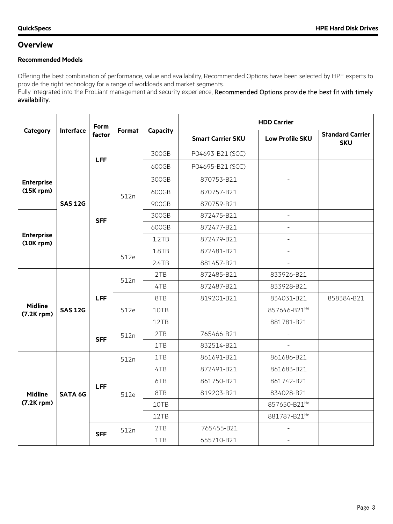### **Overview**

### **Recommended Models**

Offering the best combination of performance, value and availability, Recommended Options have been selected by HPE experts to provide the right technology for a range of workloads and market segments.

Fully integrated into the ProLiant management and security experience, Recommended Options provide the best fit with timely availability.

|                                     |                  | <b>Form</b> |        |          |                          | <b>HDD Carrier</b>       |                                       |
|-------------------------------------|------------------|-------------|--------|----------|--------------------------|--------------------------|---------------------------------------|
| Category                            | <b>Interface</b> | factor      | Format | Capacity | <b>Smart Carrier SKU</b> | <b>Low Profile SKU</b>   | <b>Standard Carrier</b><br><b>SKU</b> |
|                                     |                  |             |        | 300GB    | P04693-B21 (SCC)         |                          |                                       |
|                                     |                  | <b>LFF</b>  |        | 600GB    | P04695-B21 (SCC)         |                          |                                       |
| <b>Enterprise</b>                   |                  |             |        | 300GB    | 870753-B21               | $\overline{\phantom{a}}$ |                                       |
| $(15K$ rpm $)$                      |                  |             | 512n   | 600GB    | 870757-B21               |                          |                                       |
|                                     | <b>SAS 12G</b>   |             |        | 900GB    | 870759-B21               |                          |                                       |
|                                     |                  | <b>SFF</b>  |        | 300GB    | 872475-B21               | $\qquad \qquad -$        |                                       |
|                                     |                  |             |        | 600GB    | 872477-B21               | $\overline{\phantom{a}}$ |                                       |
| <b>Enterprise</b><br>$(10K$ rpm $)$ |                  |             |        | 1.2TB    | 872479-B21               | $\frac{1}{2}$            |                                       |
|                                     |                  |             | 512e   | 1.8TB    | 872481-B21               | $\overline{a}$           |                                       |
|                                     |                  |             |        | 2.4TB    | 881457-B21               | $\equiv$                 |                                       |
|                                     |                  |             | 512n   | 2TB      | 872485-B21               | 833926-B21               |                                       |
|                                     |                  |             |        | 4TB      | 872487-B21               | 833928-B21               |                                       |
|                                     |                  | <b>LFF</b>  |        | 8TB      | 819201-B21               | 834031-B21               | 858384-B21                            |
| <b>Midline</b><br>$(7.2K$ rpm $)$   | <b>SAS 12G</b>   |             | 512e   | 10TB     |                          | 857646-B21 <sup>He</sup> |                                       |
|                                     |                  |             |        | 12TB     |                          | 881781-B21               |                                       |
|                                     |                  | <b>SFF</b>  | 512n   | 2TB      | 765466-B21               | $\sim$                   |                                       |
|                                     |                  |             |        | 1TB      | 832514-B21               | $\overline{\phantom{0}}$ |                                       |
|                                     |                  |             | 512n   | 1TB      | 861691-B21               | 861686-B21               |                                       |
|                                     |                  |             |        | 4TB      | 872491-B21               | 861683-B21               |                                       |
|                                     |                  | <b>LFF</b>  |        | 6TB      | 861750-B21               | 861742-B21               |                                       |
| <b>Midline</b>                      | <b>SATA 6G</b>   |             | 512e   | 8TB      | 819203-B21               | 834028-B21               |                                       |
| $(7.2K$ rpm $)$                     |                  |             |        | 10TB     |                          | 857650-B21 <sup>He</sup> |                                       |
|                                     |                  |             |        | 12TB     |                          | 881787-B21 <sup>He</sup> |                                       |
|                                     |                  | <b>SFF</b>  | 512n   | 2TB      | 765455-B21               |                          |                                       |
|                                     |                  |             |        | 1TB      | 655710-B21               | $\overline{\phantom{a}}$ |                                       |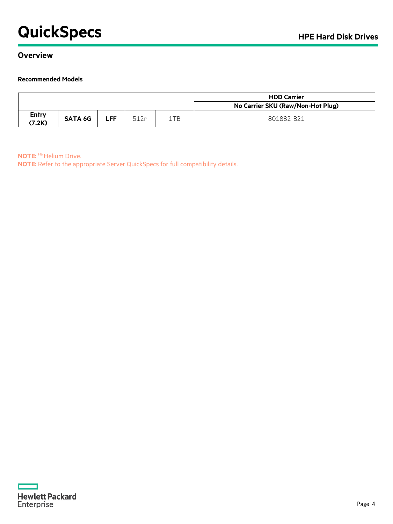# **QuickSpecs HPE Hard Disk Drives**

### **Overview**

#### **Recommended Models**

|                        |                |       |      |     | <b>HDD Carrier</b>                |
|------------------------|----------------|-------|------|-----|-----------------------------------|
|                        |                |       |      |     | No Carrier SKU (Raw/Non-Hot Plug) |
| <b>Entry</b><br>(7.2K) | <b>SATA 6G</b> | ∠FF I | 512n | 1TB | 801882-B21                        |

**NOTE: He Helium Drive.** 

**NOTE:** Refer to the appropriate Server QuickSpecs for full compatibility details.

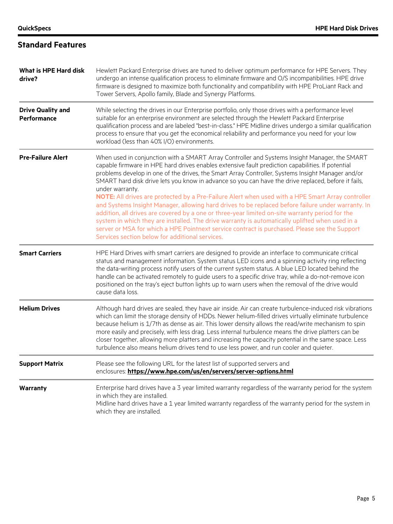#### **What is HPE Hard disk drive?** Hewlett Packard Enterprise drives are tuned to deliver optimum performance for HPE Servers. They undergo an intense qualification process to eliminate firmware and O/S incompatibilities. HPE drive firmware is designed to maximize both functionality and compatibility with HPE ProLiant Rack and Tower Servers, Apollo family, Blade and Synergy Platforms. **Drive Quality and Performance** While selecting the drives in our Enterprise portfolio, only those drives with a performance level suitable for an enterprise environment are selected through the Hewlett Packard Enterprise qualification process and are labeled "best-in-class." HPE Midline drives undergo a similar qualification process to ensure that you get the economical reliability and performance you need for your low workload (less than 40% I/O) environments. **Pre-Failure Alert** When used in conjunction with a SMART Array Controller and Systems Insight Manager, the SMART capable firmware in HPE hard drives enables extensive fault prediction capabilities. If potential problems develop in one of the drives, the Smart Array Controller, Systems Insight Manager and/or SMART hard disk drive lets you know in advance so you can have the drive replaced, before it fails, under warranty. **NOTE:** All drives are protected by a Pre-Failure Alert when used with a HPE Smart Array controller and Systems Insight Manager, allowing hard drives to be replaced before failure under warranty. In addition, all drives are covered by a one or three-year limited on-site warranty period for the system in which they are installed. The drive warranty is automatically uplifted when used in a server or MSA for which a HPE Pointnext service contract is purchased. Please see the Support Services section below for additional services. **Smart Carriers** HPE Hard Drives with smart carriers are designed to provide an interface to communicate critical status and management information. System status LED icons and a spinning activity ring reflecting the data-writing process notify users of the current system status. A blue LED located behind the handle can be activated remotely to guide users to a specific drive tray, while a do-not-remove icon positioned on the tray's eject button lights up to warn users when the removal of the drive would cause data loss. **Helium Drives** Although hard drives are sealed, they have air inside. Air can create turbulence-induced risk vibrations which can limit the storage density of HDDs. Newer helium-filled drives virtually eliminate turbulence because helium is 1/7th as dense as air. This lower density allows the read/write mechanism to spin more easily and precisely, with less drag. Less internal turbulence means the drive platters can be closer together, allowing more platters and increasing the capacity potential in the same space. Less turbulence also means helium drives tend to use less power, and run cooler and quieter. **Support Matrix** Please see the following URL for the latest list of supported servers and enclosures: **<https://www.hpe.com/us/en/servers/server-options.html> Warranty** Enterprise hard drives have a 3 year limited warranty regardless of the warranty period for the system in which they are installed. Midline hard drives have a 1 year limited warranty regardless of the warranty period for the system in which they are installed.

### **Standard Features**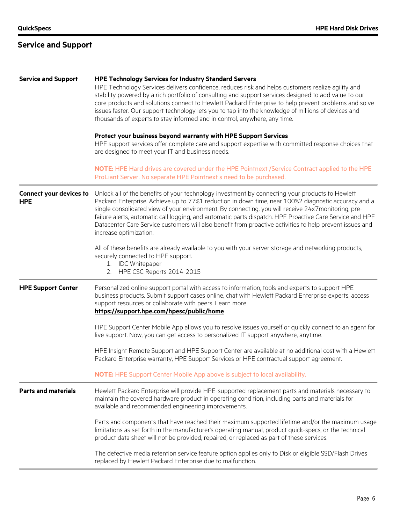# **Service and Support**

| <b>Service and Support</b>                   | <b>HPE Technology Services for Industry Standard Servers</b><br>HPE Technology Services delivers confidence, reduces risk and helps customers realize agility and<br>stability powered by a rich portfolio of consulting and support services designed to add value to our<br>core products and solutions connect to Hewlett Packard Enterprise to help prevent problems and solve<br>issues faster. Our support technology lets you to tap into the knowledge of millions of devices and<br>thousands of experts to stay informed and in control, anywhere, any time.<br>Protect your business beyond warranty with HPE Support Services |
|----------------------------------------------|-------------------------------------------------------------------------------------------------------------------------------------------------------------------------------------------------------------------------------------------------------------------------------------------------------------------------------------------------------------------------------------------------------------------------------------------------------------------------------------------------------------------------------------------------------------------------------------------------------------------------------------------|
|                                              | HPE support services offer complete care and support expertise with committed response choices that<br>are designed to meet your IT and business needs.                                                                                                                                                                                                                                                                                                                                                                                                                                                                                   |
|                                              | NOTE: HPE Hard drives are covered under the HPE Pointnext /Service Contract applied to the HPE<br>ProLiant Server. No separate HPE Pointnext s need to be purchased.                                                                                                                                                                                                                                                                                                                                                                                                                                                                      |
| <b>Connect your devices to</b><br><b>HPE</b> | Unlock all of the benefits of your technology investment by connecting your products to Hewlett<br>Packard Enterprise. Achieve up to 77%1 reduction in down time, near 100%2 diagnostic accuracy and a<br>single consolidated view of your environment. By connecting, you will receive 24x7monitoring, pre-<br>failure alerts, automatic call logging, and automatic parts dispatch. HPE Proactive Care Service and HPE<br>Datacenter Care Service customers will also benefit from proactive activities to help prevent issues and<br>increase optimization.                                                                            |
|                                              | All of these benefits are already available to you with your server storage and networking products,<br>securely connected to HPE support.<br>1. IDC Whitepaper<br>2. HPE CSC Reports 2014-2015                                                                                                                                                                                                                                                                                                                                                                                                                                           |
| <b>HPE Support Center</b>                    | Personalized online support portal with access to information, tools and experts to support HPE<br>business products. Submit support cases online, chat with Hewlett Packard Enterprise experts, access<br>support resources or collaborate with peers. Learn more<br>https://support.hpe.com/hpesc/public/home                                                                                                                                                                                                                                                                                                                           |
|                                              | HPE Support Center Mobile App allows you to resolve issues yourself or quickly connect to an agent for<br>live support. Now, you can get access to personalized IT support anywhere, anytime.                                                                                                                                                                                                                                                                                                                                                                                                                                             |
|                                              | HPE Insight Remote Support and HPE Support Center are available at no additional cost with a Hewlett<br>Packard Enterprise warranty, HPE Support Services or HPE contractual support agreement.                                                                                                                                                                                                                                                                                                                                                                                                                                           |
|                                              | <b>NOTE:</b> HPE Support Center Mobile App above is subject to local availability.                                                                                                                                                                                                                                                                                                                                                                                                                                                                                                                                                        |
| <b>Parts and materials</b>                   | Hewlett Packard Enterprise will provide HPE-supported replacement parts and materials necessary to<br>maintain the covered hardware product in operating condition, including parts and materials for<br>available and recommended engineering improvements.                                                                                                                                                                                                                                                                                                                                                                              |
|                                              | Parts and components that have reached their maximum supported lifetime and/or the maximum usage<br>limitations as set forth in the manufacturer's operating manual, product quick-specs, or the technical<br>product data sheet will not be provided, repaired, or replaced as part of these services.                                                                                                                                                                                                                                                                                                                                   |
|                                              | The defective media retention service feature option applies only to Disk or eligible SSD/Flash Drives<br>replaced by Hewlett Packard Enterprise due to malfunction.                                                                                                                                                                                                                                                                                                                                                                                                                                                                      |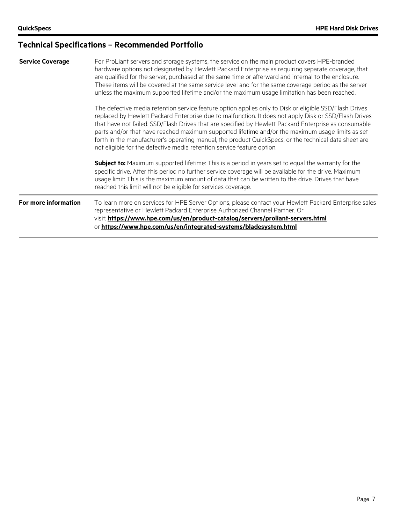### **Service Coverage** For ProLiant servers and storage systems, the service on the main product covers HPE-branded hardware options not designated by Hewlett Packard Enterprise as requiring separate coverage, that are qualified for the server, purchased at the same time or afterward and internal to the enclosure. These items will be covered at the same service level and for the same coverage period as the server unless the maximum supported lifetime and/or the maximum usage limitation has been reached. The defective media retention service feature option applies only to Disk or eligible SSD/Flash Drives replaced by Hewlett Packard Enterprise due to malfunction. It does not apply Disk or SSD/Flash Drives that have not failed. SSD/Flash Drives that are specified by Hewlett Packard Enterprise as consumable parts and/or that have reached maximum supported lifetime and/or the maximum usage limits as set forth in the manufacturer's operating manual, the product QuickSpecs, or the technical data sheet are not eligible for the defective media retention service feature option. **Subject to:** Maximum supported lifetime: This is a period in years set to equal the warranty for the specific drive. After this period no further service coverage will be available for the drive. Maximum usage limit: This is the maximum amount of data that can be written to the drive. Drives that have reached this limit will not be eligible for services coverage. **For more information** To learn more on services for HPE Server Options, please contact your Hewlett Packard Enterprise sales representative or Hewlett Packard Enterprise Authorized Channel Partner. Or visit: **<https://www.hpe.com/us/en/product-catalog/servers/proliant-servers.html>** or **<https://www.hpe.com/us/en/integrated-systems/bladesystem.html>**

### **Technical Specifications – Recommended Portfolio**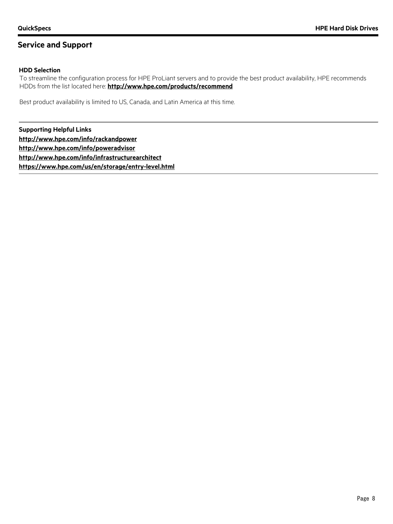### **Service and Support**

#### **HDD Selection**

To streamline the configuration process for HPE ProLiant servers and to provide the best product availability, HPE recommends HDDs from the list located here: **<http://www.hpe.com/products/recommend>**

Best product availability is limited to US, Canada, and Latin America at this time.

**Supporting Helpful Links <http://www.hpe.com/info/rackandpower> <http://www.hpe.com/info/poweradvisor> <http://www.hpe.com/info/infrastructurearchitect> <https://www.hpe.com/us/en/storage/entry-level.html>**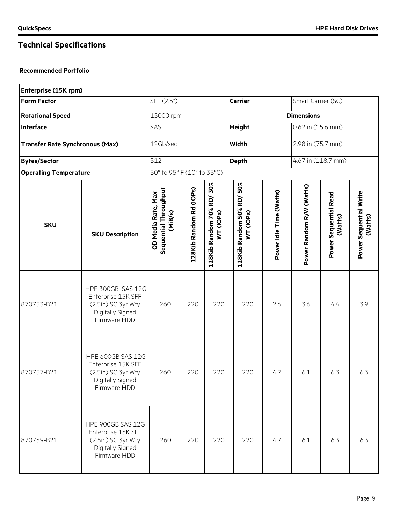$\mathsf{r}$ 

# **Technical Specifications**

| Enterprise (15K rpm)                   |                                                                                                          |                                                        |                         |                                       |                                        |                         |                          |                                         |                                   |
|----------------------------------------|----------------------------------------------------------------------------------------------------------|--------------------------------------------------------|-------------------------|---------------------------------------|----------------------------------------|-------------------------|--------------------------|-----------------------------------------|-----------------------------------|
| <b>Form Factor</b>                     |                                                                                                          | SFF (2.5")                                             |                         |                                       | <b>Carrier</b>                         |                         | Smart Carrier (SC)       |                                         |                                   |
| <b>Rotational Speed</b>                |                                                                                                          | 15000 rpm                                              |                         |                                       |                                        |                         | <b>Dimensions</b>        |                                         |                                   |
| <b>Interface</b>                       |                                                                                                          | SAS                                                    |                         |                                       | <b>Height</b>                          |                         | 0.62 in (15.6 mm)        |                                         |                                   |
| <b>Transfer Rate Synchronous (Max)</b> |                                                                                                          | 12Gb/sec                                               |                         |                                       | Width                                  |                         | 2.98 in (75.7 mm)        |                                         |                                   |
| <b>Bytes/Sector</b>                    |                                                                                                          | $\overline{512}$                                       |                         |                                       | <b>Depth</b>                           |                         |                          | 4.67 in (118.7 mm)                      |                                   |
| <b>Operating Temperature</b>           |                                                                                                          | 50° to 95° F (10° to 35°C)                             |                         |                                       |                                        |                         |                          |                                         |                                   |
| <b>SKU</b>                             | <b>SKU Description</b>                                                                                   | Sequential Throughput<br>OD Media Rate, Max<br>(MiB/s) | 128Kib Random Rd (IOPs) | 128Kib Random 70% RD/30%<br>WT (IOPs) | 128Kib Random 50% RD/ 50%<br>WT (IOPs) | Power Idle Time (Watts) | Power Random R/W (Watts) | <b>Power Sequential Read</b><br>(Watts) | Power Sequential Write<br>(Watts) |
| 870753-B21                             | HPE 300GB SAS 12G<br>Enterprise 15K SFF<br>(2.5in) SC 3yr Wty<br>Digitally Signed<br>Firmware HDD        | 260                                                    | 220                     | 220                                   | 220                                    | 2.6                     | 3.6                      | 4.4                                     | 3.9                               |
| 870757-B21                             | HPE 600GB SAS 12G<br>Enterprise 15K SFF<br>(2.5in) SC 3yr Wty<br>Digitally Signed<br>Firmware HDD        | 260                                                    | 220                     | 220                                   | 220                                    | 4.7                     | 6.1                      | 6.3                                     | 6.3                               |
| 870759-B21                             | <b>HPE 900GB SAS 12G</b><br>Enterprise 15K SFF<br>(2.5in) SC 3yr Wty<br>Digitally Signed<br>Firmware HDD | 260                                                    | 220                     | 220                                   | 220                                    | 4.7                     | 6.1                      | 6.3                                     | 6.3                               |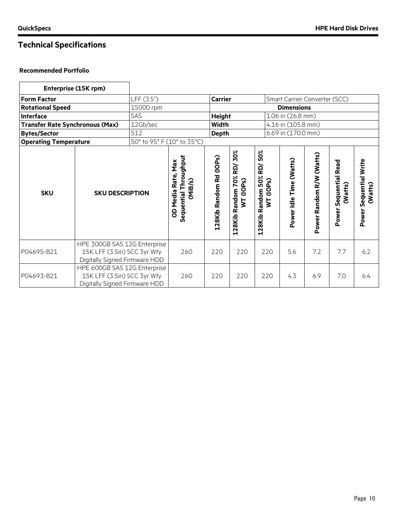|                                        | Enterprise (15K rpm)                                                                         |                            |                                                           |                         |                                                    |                                                                      |                                                                                            |     |     |                                   |  |
|----------------------------------------|----------------------------------------------------------------------------------------------|----------------------------|-----------------------------------------------------------|-------------------------|----------------------------------------------------|----------------------------------------------------------------------|--------------------------------------------------------------------------------------------|-----|-----|-----------------------------------|--|
| <b>Form Factor</b>                     |                                                                                              | LFF (3.5")                 |                                                           | <b>Carrier</b>          |                                                    |                                                                      | Smart Carrier Converter (SCC)                                                              |     |     |                                   |  |
| <b>Rotational Speed</b>                |                                                                                              | 15000 rpm                  |                                                           |                         | <b>Dimensions</b>                                  |                                                                      |                                                                                            |     |     |                                   |  |
| <b>Interface</b>                       |                                                                                              | SAS                        |                                                           | <b>Height</b>           |                                                    |                                                                      | 1.06 in (26.8 mm)                                                                          |     |     |                                   |  |
| <b>Transfer Rate Synchronous (Max)</b> |                                                                                              | 12Gb/sec                   |                                                           | <b>Width</b>            |                                                    |                                                                      | 4.16 in (105.8 mm)                                                                         |     |     |                                   |  |
| <b>Bytes/Sector</b>                    |                                                                                              | 512                        |                                                           | <b>Depth</b>            |                                                    |                                                                      | 6.69 in (170.0 mm)                                                                         |     |     |                                   |  |
| <b>Operating Temperature</b>           |                                                                                              | 50° to 95° F (10° to 35°C) |                                                           |                         |                                                    |                                                                      |                                                                                            |     |     |                                   |  |
| <b>SKU</b>                             | <b>SKU DESCRIPTION</b>                                                                       |                            | Throughput<br>OD Media Rate, Max<br>(MiB/s)<br>Sequential | 128Kib Random Rd (IOPs) | 30%<br>RD/<br>70%<br>WT (IOPs)<br>Random<br>128Kib | 50%<br><b>RD</b><br>Random 50%<br>(10P <sub>S</sub> )<br>Ş<br>128Kib | Power Random R/W (Watts)<br>Power Idle Time (Watts)<br>Sequential Read<br>(Watts)<br>Power |     |     | Power Sequential Write<br>(Watts) |  |
| P04695-B21                             | HPE 300GB SAS 12G Enterprise<br>15K LFF (3.5in) SCC 3yr Wty<br>Digitally Signed Firmware HDD |                            | 260                                                       | 220                     | 220                                                | 220                                                                  | 5.6                                                                                        | 7.2 | 7.7 | 6.2                               |  |
| P04693-B21                             | HPE 600GB SAS 12G Enterprise<br>15K LFF (3.5in) SCC 3yr Wty<br>Digitally Signed Firmware HDD |                            | 260                                                       | 220                     | 220                                                | 220                                                                  | 4.3                                                                                        | 6.9 | 7.0 | 6.4                               |  |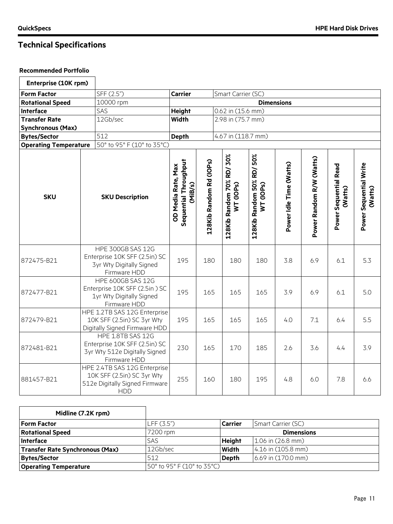| Enterprise (10K rpm)         |                                                                                                              |                                                        |                         |                                       |  |                                        |                         |                          |                                  |                                   |  |
|------------------------------|--------------------------------------------------------------------------------------------------------------|--------------------------------------------------------|-------------------------|---------------------------------------|--|----------------------------------------|-------------------------|--------------------------|----------------------------------|-----------------------------------|--|
| <b>Form Factor</b>           | SFF (2.5")                                                                                                   | <b>Carrier</b>                                         |                         | Smart Carrier (SC)                    |  |                                        |                         |                          |                                  |                                   |  |
| <b>Rotational Speed</b>      | 10000 rpm                                                                                                    |                                                        |                         |                                       |  |                                        | <b>Dimensions</b>       |                          |                                  |                                   |  |
| <b>Interface</b>             | SAS                                                                                                          | <b>Height</b>                                          |                         | 0.62 in (15.6 mm)                     |  |                                        |                         |                          |                                  |                                   |  |
| <b>Transfer Rate</b>         | 12Gb/sec                                                                                                     | Width                                                  |                         | 2.98 in (75.7 mm)                     |  |                                        |                         |                          |                                  |                                   |  |
| <b>Synchronous (Max)</b>     |                                                                                                              |                                                        |                         |                                       |  |                                        |                         |                          |                                  |                                   |  |
| <b>Bytes/Sector</b>          | 512                                                                                                          | <b>Depth</b>                                           |                         | 4.67 in (118.7 mm)                    |  |                                        |                         |                          |                                  |                                   |  |
| <b>Operating Temperature</b> | 50° to 95° F (10° to 35°C)                                                                                   |                                                        |                         |                                       |  |                                        |                         |                          |                                  |                                   |  |
| <b>SKU</b>                   | <b>SKU Description</b>                                                                                       | Sequential Throughput<br>OD Media Rate, Max<br>(MiB/s) | 128Kib Random Rd (IOPs) | 128Kib Random 70% RD/30%<br>WT (IOPs) |  | 128Kib Random 50% RD/ 50%<br>WT (IOPs) | Power Idle Time (Watts) | Power Random R/W (Watts) | Power Sequential Read<br>(Watts) | Power Sequential Write<br>(Watts) |  |
| 872475-B21                   | <b>HPE 300GB SAS 12G</b><br>Enterprise 10K SFF (2.5in) SC<br><b>3yr Wty Digitally Signed</b><br>Firmware HDD | 195                                                    | 180                     | 180                                   |  | 180                                    | 3.8                     | 6.9                      | 6.1                              | 5.3                               |  |
| 872477-B21                   | HPE 600GB SAS 12G<br>Enterprise 10K SFF (2.5in) SC<br>1yr Wty Digitally Signed<br>Firmware HDD               | 195                                                    | 165                     | 165                                   |  | 165                                    | 3.9                     | 6.9                      | 6.1                              | 5.0                               |  |
| 872479-B21                   | HPE 1.2TB SAS 12G Enterprise<br>10K SFF (2.5in) SC 3yr Wty<br>Digitally Signed Firmware HDD                  | 195                                                    | 165                     | 165                                   |  | 165                                    | 4.0                     | 7.1                      | 6.4                              | 5.5                               |  |
| 872481-B21                   | HPE 1.8TB SAS 12G<br>Enterprise 10K SFF (2.5in) SC<br>3yr Wty 512e Digitally Signed<br>Firmware HDD          | 230                                                    | 165                     | 170                                   |  | 185                                    | 2.6                     | 3.6                      | 4.4                              | 3.9                               |  |
| 881457-B21                   | HPE 2.4TB SAS 12G Enterprise<br>10K SFF (2.5in) SC 3yr Wty<br>512e Digitally Signed Firmware<br><b>HDD</b>   | 255                                                    | 160                     | 180                                   |  | 195                                    | 4.8                     | 6.0                      | 7.8                              | 6.6                               |  |

| Midline (7.2K rpm)                     |                            |                |                        |
|----------------------------------------|----------------------------|----------------|------------------------|
| <b>Form Factor</b>                     | LFF(3.5")                  | <b>Carrier</b> | Smart Carrier (SC)     |
| <b>Rotational Speed</b>                | 7200 rpm                   |                | <b>Dimensions</b>      |
| Interface                              | <b>SAS</b>                 | <b>Height</b>  | $1.06$ in $(26.8$ mm)  |
| <b>Transfer Rate Synchronous (Max)</b> | 12Gb/sec                   | Width          | $4.16$ in $(105.8$ mm) |
| <b>Bytes/Sector</b>                    | 512                        | <b>Depth</b>   | $6.69$ in $(170.0$ mm) |
| <b>Operating Temperature</b>           | 50° to 95° F (10° to 35°C) |                |                        |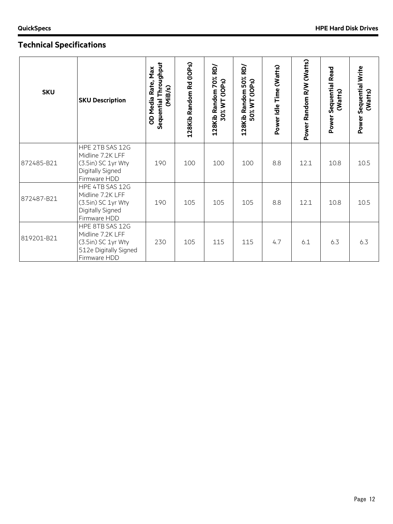| <b>SKU</b> | <b>SKU Description</b>                                                                             | Sequential Throughput<br>OD Media Rate, Max<br>(MiB/s) | 128Kib Random Rd (IOPs) | 128Kib Random 70% RD/<br>30% WT (IOPs) | 50% RD/<br>50% WT (IOPs)<br>128Kib Random | Power Idle Time (Watts) | Power Random R/W (Watts) | <b>Sequential Read</b><br>(Watts)<br>Power | Sequential Write<br>(Watts)<br>Power |
|------------|----------------------------------------------------------------------------------------------------|--------------------------------------------------------|-------------------------|----------------------------------------|-------------------------------------------|-------------------------|--------------------------|--------------------------------------------|--------------------------------------|
| 872485-B21 | HPE 2TB SAS 12G<br>Midline 7.2K LFF<br>(3.5in) SC 1yr Wty<br>Digitally Signed<br>Firmware HDD      | 190                                                    | 100                     | 100                                    | 100                                       | 8.8                     | 12.1                     | 10.8                                       | 10.5                                 |
| 872487-B21 | HPE 4TB SAS 12G<br>Midline 7.2K LFF<br>(3.5in) SC 1yr Wty<br>Digitally Signed<br>Firmware HDD      | 190                                                    | 105                     | 105                                    | 105                                       | 8.8                     | 12.1                     | 10.8                                       | 10.5                                 |
| 819201-B21 | HPE 8TB SAS 12G<br>Midline 7.2K LFF<br>(3.5in) SC 1yr Wty<br>512e Digitally Signed<br>Firmware HDD | 230                                                    | 105                     | 115                                    | 115                                       | 4.7                     | 6.1                      | 6.3                                        | 6.3                                  |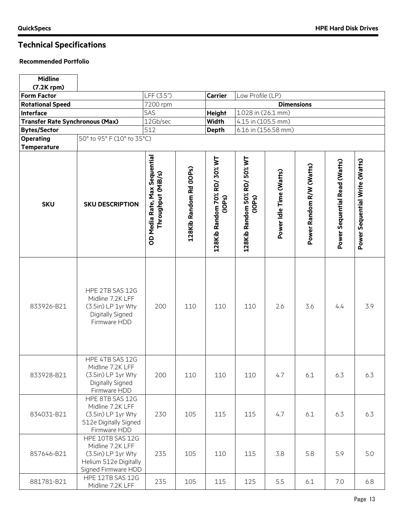# **Technical Specifications**

| <b>Midline</b>                         |                                                                                                            |                                                     |                         |                                                     |                                        |                         |                          |                               |                                |  |
|----------------------------------------|------------------------------------------------------------------------------------------------------------|-----------------------------------------------------|-------------------------|-----------------------------------------------------|----------------------------------------|-------------------------|--------------------------|-------------------------------|--------------------------------|--|
| (7.2K rpm)                             |                                                                                                            |                                                     |                         |                                                     |                                        |                         |                          |                               |                                |  |
| <b>Form Factor</b>                     |                                                                                                            | LFF (3.5")                                          |                         | <b>Carrier</b>                                      | Low Profile (LP)                       |                         | <b>Dimensions</b>        |                               |                                |  |
| <b>Rotational Speed</b>                |                                                                                                            | 7200 rpm                                            |                         |                                                     |                                        |                         |                          |                               |                                |  |
| <b>Interface</b>                       |                                                                                                            | SAS                                                 |                         | <b>Height</b>                                       | 1.028 in (26.1 mm)                     |                         |                          |                               |                                |  |
| <b>Transfer Rate Synchronous (Max)</b> |                                                                                                            | 12Gb/sec                                            |                         | <b>Width</b>                                        | 4.15 in (105.5 mm)                     |                         |                          |                               |                                |  |
| <b>Bytes/Sector</b>                    |                                                                                                            | 512                                                 |                         | <b>Depth</b>                                        |                                        | 6.16 in (156.58 mm)     |                          |                               |                                |  |
| <b>Operating</b><br><b>Temperature</b> | 50° to 95° F (10° to 35°C)                                                                                 |                                                     |                         |                                                     |                                        |                         |                          |                               |                                |  |
| <b>SKU</b>                             | <b>SKU DESCRIPTION</b>                                                                                     | OD Media Rate, Max Sequential<br>Throughput (MiB/s) | 128Kib Random Rd (IOPs) | 128Kib Random 70% RD/ 30% WT<br>(10P <sub>S</sub> ) | 128Kib Random 50% RD/ 50% WT<br>(1OPs) | Power Idle Time (Watts) | Power Random R/W (Watts) | Power Sequential Read (Watts) | Power Sequential Write (Watts) |  |
| 833926-B21                             | HPE 2TB SAS 12G<br>Midline 7.2K LFF<br>(3.5in) LP 1yr Wty<br>Digitally Signed<br>Firmware HDD              | 200                                                 | 110                     | 110                                                 | 110                                    | 2.6                     | 3.6                      | 4.4                           | 3.9                            |  |
| 833928-B21                             | HPE 4TB SAS 12G<br>Midline 7.2K LFF<br>(3.5in) LP 1yr Wty<br>Digitally Signed<br>Firmware HDD              | 200                                                 | 110                     | 110                                                 | 110                                    | 4.7                     | 6.1                      | 6.3                           | 6.3                            |  |
| 834031-B21                             | HPE 8TB SAS 12G<br>Midline 7.2K LFF<br>(3.5in) LP 1yr Wty<br>512e Digitally Signed<br>Firmware HDD         | 230                                                 | 105                     | 115                                                 | 115                                    | 4.7                     | 6.1                      | 6.3                           | 6.3                            |  |
| 857646-B21                             | HPE 10TB SAS 12G<br>Midline 7.2K LFF<br>(3.5in) LP 1yr Wty<br>Helium 512e Digitally<br>Signed Firmware HDD | 235                                                 | 105                     | 110                                                 | 115                                    | 3.8                     | 5.8                      | 5.9                           | 5.0                            |  |
| 881781-B21                             | HPE 12TB SAS 12G<br>Midline 7.2K LFF                                                                       | 235                                                 | 105                     | 115                                                 | 125                                    | 5.5                     | 6.1                      | 7.0                           | 6.8                            |  |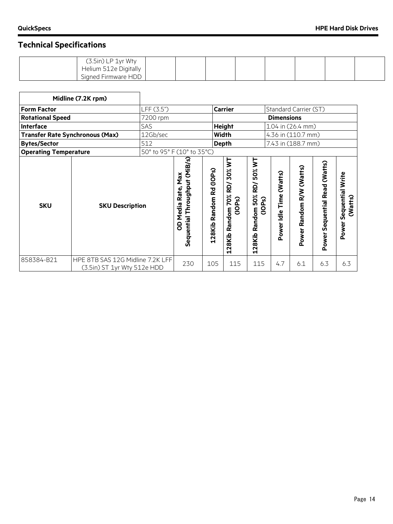| (3.5in) LP 1yr Wty     |  |  |  |  |
|------------------------|--|--|--|--|
| Helium 512e Digitally  |  |  |  |  |
| Firmware HDD<br>Sianed |  |  |  |  |

|                                        | Midline (7.2K rpm)                                              |            |                                                                      |                            |                                                         |                                                                        |                               |                          |                                            |                                      |
|----------------------------------------|-----------------------------------------------------------------|------------|----------------------------------------------------------------------|----------------------------|---------------------------------------------------------|------------------------------------------------------------------------|-------------------------------|--------------------------|--------------------------------------------|--------------------------------------|
| <b>Form Factor</b>                     |                                                                 | LFF (3.5") |                                                                      |                            | <b>Carrier</b>                                          |                                                                        | Standard Carrier (ST)         |                          |                                            |                                      |
| <b>Rotational Speed</b>                |                                                                 | 7200 rpm   |                                                                      |                            |                                                         |                                                                        | <b>Dimensions</b>             |                          |                                            |                                      |
| Interface                              |                                                                 | SAS        |                                                                      |                            | <b>Height</b>                                           |                                                                        | 1.04 in (26.4 mm)             |                          |                                            |                                      |
| <b>Transfer Rate Synchronous (Max)</b> |                                                                 | 12Gb/sec   |                                                                      |                            | Width                                                   |                                                                        | 4.36 in (110.7 mm)            |                          |                                            |                                      |
| <b>Bytes/Sector</b>                    |                                                                 | 512        |                                                                      |                            | <b>Depth</b>                                            |                                                                        | 7.43 in (188.7 mm)            |                          |                                            |                                      |
| <b>Operating Temperature</b>           | 50° to 95° F (10° to 35°C)                                      |            |                                                                      |                            |                                                         |                                                                        |                               |                          |                                            |                                      |
| <b>SKU</b>                             | <b>SKU Description</b>                                          |            | ଜ<br>Sequential Throughput (MiB<br>Max<br>Rate,<br><b>Media</b><br>8 | Random Rd (IOPs)<br>128Kib | ξ<br>30%<br>RD/<br>Random 70%<br>ၐ<br>ÖC<br>U<br>128Kib | ξ<br>50%<br>kD/<br>50%<br>ၐ<br>௳<br>$\frac{8}{11}$<br>Random<br>128Kib | (Watts)<br>Time<br>Power Idle | Power Random R/W (Watts) | (Watts)<br><b>Sequential Read</b><br>Power | Sequential Write<br>(Watts)<br>Power |
| 858384-B21                             | HPE 8TB SAS 12G Midline 7.2K LFF<br>(3.5in) ST 1yr Wty 512e HDD |            | 230                                                                  | 105                        | 115                                                     | 115                                                                    | 4.7                           | 6.1                      | 6.3                                        | 6.3                                  |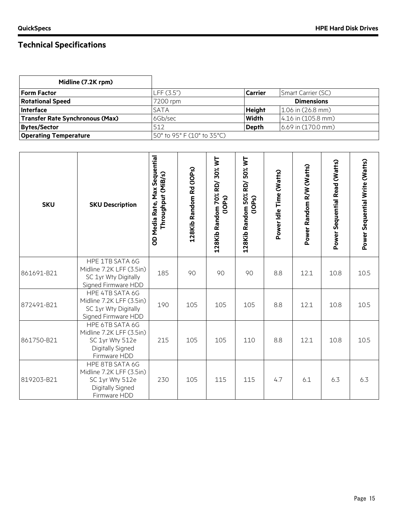| Midline (7.2K rpm)                     |                            |               |                        |
|----------------------------------------|----------------------------|---------------|------------------------|
| <b>Form Factor</b>                     | LFF(3.5")                  | Carrier       | Smart Carrier (SC)     |
| <b>Rotational Speed</b>                | 7200 rpm                   |               | <b>Dimensions</b>      |
| Interface                              | <b>SATA</b>                | <b>Height</b> | $1.06$ in $(26.8$ mm)  |
| <b>Transfer Rate Synchronous (Max)</b> | 6Gb/sec                    | <b>Width</b>  | 4.16 in (105.8 mm)     |
| <b>Bytes/Sector</b>                    | 512                        | <b>Depth</b>  | $6.69$ in $(170.0$ mm) |
| <b>Operating Temperature</b>           | 50° to 95° F (10° to 35°C) |               |                        |

| <b>SKU</b> | <b>SKU Description</b>                                                                             | OD Media Rate, Max Sequential<br>Throughput (MiB/s) | 128Kib Random Rd (IOPs) | RD/30% WT<br>128Kib Random 70%<br>(10P <sub>S</sub> ) | 50% WT<br>RD/<br>128Kib Random 50%<br>(10P <sub>S</sub> ) | Power Idle Time (Watts) | Power Random R/W (Watts) | Power Sequential Read (Watts) | Power Sequential Write (Watts) |
|------------|----------------------------------------------------------------------------------------------------|-----------------------------------------------------|-------------------------|-------------------------------------------------------|-----------------------------------------------------------|-------------------------|--------------------------|-------------------------------|--------------------------------|
| 861691-B21 | HPE 1TB SATA 6G<br>Midline 7.2K LFF (3.5in)<br>SC 1yr Wty Digitally<br>Signed Firmware HDD         | 185                                                 | 90                      | 90                                                    | 90                                                        | 8.8                     | 12.1                     | 10.8                          | 10.5                           |
| 872491-B21 | HPE 4TB SATA 6G<br>Midline 7.2K LFF (3.5in)<br>SC 1yr Wty Digitally<br>Signed Firmware HDD         | 190                                                 | 105                     | 105                                                   | 105                                                       | 8.8                     | 12.1                     | 10.8                          | 10.5                           |
| 861750-B21 | HPE 6TB SATA 6G<br>Midline 7.2K LFF (3.5in)<br>SC 1yr Wty 512e<br>Digitally Signed<br>Firmware HDD | 215                                                 | 105                     | 105                                                   | 110                                                       | 8.8                     | 12.1                     | 10.8                          | 10.5                           |
| 819203-B21 | HPE 8TB SATA 6G<br>Midline 7.2K LFF (3.5in)<br>SC 1yr Wty 512e<br>Digitally Signed<br>Firmware HDD | 230                                                 | 105                     | 115                                                   | 115                                                       | 4.7                     | 6.1                      | 6.3                           | 6.3                            |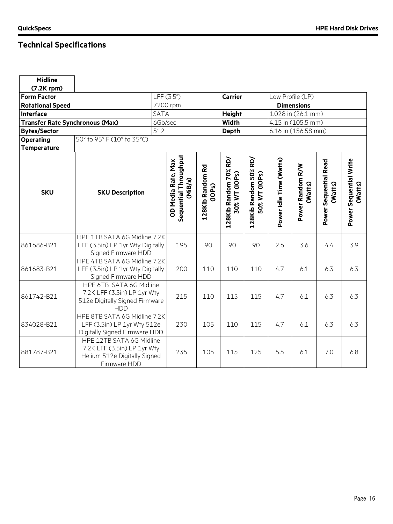| <b>Midline</b>                         |                                                                                                         |             |                                                        |                            |                                        |                                        |                         |                             |                                  |                                   |
|----------------------------------------|---------------------------------------------------------------------------------------------------------|-------------|--------------------------------------------------------|----------------------------|----------------------------------------|----------------------------------------|-------------------------|-----------------------------|----------------------------------|-----------------------------------|
| $(7.2K$ rpm $)$                        |                                                                                                         |             |                                                        |                            |                                        |                                        |                         |                             |                                  |                                   |
| <b>Form Factor</b>                     |                                                                                                         |             | LFF (3.5")                                             |                            | <b>Carrier</b>                         |                                        |                         | Low Profile (LP)            |                                  |                                   |
| <b>Rotational Speed</b>                |                                                                                                         |             | 7200 rpm                                               |                            |                                        |                                        |                         | <b>Dimensions</b>           |                                  |                                   |
| <b>Interface</b>                       |                                                                                                         | <b>SATA</b> |                                                        |                            | <b>Height</b>                          |                                        |                         | 1.028 in (26.1 mm)          |                                  |                                   |
| <b>Transfer Rate Synchronous (Max)</b> |                                                                                                         | 6Gb/sec     |                                                        |                            | <b>Width</b>                           |                                        |                         | 4.15 in (105.5 mm)          |                                  |                                   |
| <b>Bytes/Sector</b>                    |                                                                                                         | 512         |                                                        |                            | <b>Depth</b>                           |                                        |                         | 6.16 in (156.58 mm)         |                                  |                                   |
| <b>Operating</b>                       | 50° to 95° F (10° to 35°C)                                                                              |             |                                                        |                            |                                        |                                        |                         |                             |                                  |                                   |
| <b>Temperature</b>                     |                                                                                                         |             |                                                        |                            |                                        |                                        |                         |                             |                                  |                                   |
| <b>SKU</b>                             | <b>SKU Description</b>                                                                                  |             | Sequential Throughput<br>OD Media Rate, Max<br>(MiB/s) | 128Kib Random Rd<br>(1OPs) | 128Kib Random 70% RD/<br>30% WT (IOPs) | 128Kib Random 50% RD/<br>50% WT (IOPs) | Power Idle Time (Watts) | Power Random R/W<br>(Watts) | Power Sequential Read<br>(Watts) | Power Sequential Write<br>(Watts) |
| 861686-B21                             | HPE 1TB SATA 6G Midline 7.2K<br>LFF (3.5in) LP 1yr Wty Digitally<br>Signed Firmware HDD                 |             | 195                                                    | 90                         | 90                                     | 90                                     | 2.6                     | 3.6                         | 4.4                              | 3.9                               |
| 861683-B21                             | HPE 4TB SATA 6G Midline 7.2K<br>LFF (3.5in) LP 1yr Wty Digitally<br>Signed Firmware HDD                 |             | 200                                                    | 110                        | 110                                    | 110                                    | 4.7                     | 6.1                         | 6.3                              | 6.3                               |
| 861742-B21                             | HPE 6TB SATA 6G Midline<br>7.2K LFF (3.5in) LP 1yr Wty<br>512e Digitally Signed Firmware<br><b>HDD</b>  |             | 215                                                    | 110                        | 115                                    | 115                                    | 4.7                     | 6.1                         | 6.3                              | 6.3                               |
| 834028-B21                             | HPE 8TB SATA 6G Midline 7.2K<br>LFF (3.5in) LP 1yr Wty 512e<br>Digitally Signed Firmware HDD            |             | 230                                                    | 105                        | 110                                    | 115                                    | 4.7                     | 6.1                         | 6.3                              | 6.3                               |
| 881787-B21                             | HPE 12TB SATA 6G Midline<br>7.2K LFF (3.5in) LP 1yr Wty<br>Helium 512e Digitally Signed<br>Firmware HDD |             | 235                                                    | 105                        | 115                                    | 125                                    | 5.5                     | 6.1                         | 7.0                              | 6.8                               |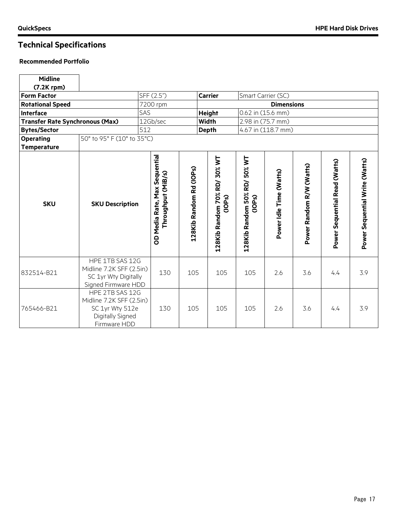$\overline{\phantom{0}}$ 

| <b>Midline</b>                         |                                                                                                    |     |                                                                  |                         |                                        |                                                        |                         |                          |                               |                                |
|----------------------------------------|----------------------------------------------------------------------------------------------------|-----|------------------------------------------------------------------|-------------------------|----------------------------------------|--------------------------------------------------------|-------------------------|--------------------------|-------------------------------|--------------------------------|
| $(7.2K$ rpm $)$                        |                                                                                                    |     |                                                                  |                         |                                        |                                                        |                         |                          |                               |                                |
| <b>Form Factor</b>                     |                                                                                                    |     | SFF (2.5")                                                       |                         | <b>Carrier</b>                         |                                                        | Smart Carrier (SC)      |                          |                               |                                |
| <b>Rotational Speed</b>                |                                                                                                    |     | 7200 rpm                                                         |                         |                                        |                                                        | <b>Dimensions</b>       |                          |                               |                                |
| <b>Interface</b>                       |                                                                                                    | SAS |                                                                  |                         | <b>Height</b>                          |                                                        | 0.62 in (15.6 mm)       |                          |                               |                                |
| <b>Transfer Rate Synchronous (Max)</b> |                                                                                                    |     | 12Gb/sec                                                         |                         | <b>Width</b>                           |                                                        | 2.98 in (75.7 mm)       |                          |                               |                                |
| <b>Bytes/Sector</b>                    |                                                                                                    | 512 |                                                                  |                         | <b>Depth</b>                           |                                                        | 4.67 in (118.7 mm)      |                          |                               |                                |
| <b>Operating</b><br><b>Temperature</b> | 50° to 95° F (10° to 35°C)                                                                         |     |                                                                  |                         |                                        |                                                        |                         |                          |                               |                                |
| <b>SKU</b>                             | <b>SKU Description</b>                                                                             |     | Sequential<br>Throughput (MiB/s)<br><b>Max</b><br>OD Media Rate, | 128Kib Random Rd (IOPs) | 128Kib Random 70% RD/ 30% WT<br>(1OPs) | 50% WT<br>128Kib Random 50% RD/<br>(10P <sub>S</sub> ) | Power Idle Time (Watts) | Power Random R/W (Watts) | Power Sequential Read (Watts) | Power Sequential Write (Watts) |
| 832514-B21                             | HPE 1TB SAS 12G<br>Midline 7.2K SFF (2.5in)<br>SC 1yr Wty Digitally<br>Signed Firmware HDD         |     | 130                                                              | 105                     | 105                                    | 105                                                    | 2.6                     | 3.6                      | 4.4                           | 3.9                            |
| 765466-B21                             | HPE 2TB SAS 12G<br>Midline 7.2K SFF (2.5in)<br>SC 1yr Wty 512e<br>Digitally Signed<br>Firmware HDD |     | 130                                                              | 105                     | 105                                    | 105                                                    | 2.6                     | 3.6                      | 4.4                           | 3.9                            |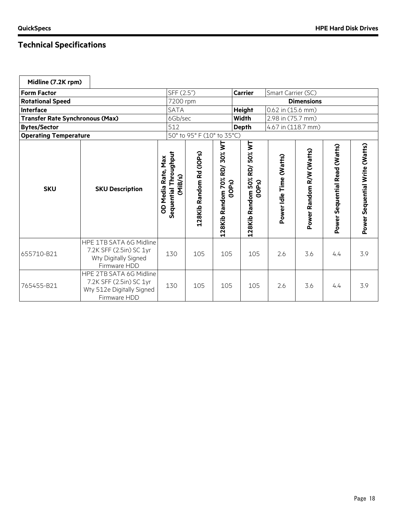| Midline (7.2K rpm)                     |                                                                                                 |                                                           |                            |                                                    |                                          |                         |                          |                               |                                |
|----------------------------------------|-------------------------------------------------------------------------------------------------|-----------------------------------------------------------|----------------------------|----------------------------------------------------|------------------------------------------|-------------------------|--------------------------|-------------------------------|--------------------------------|
| <b>Form Factor</b>                     |                                                                                                 | SFF (2.5")                                                |                            |                                                    | <b>Carrier</b>                           | Smart Carrier (SC)      |                          |                               |                                |
| <b>Rotational Speed</b>                |                                                                                                 | 7200 rpm                                                  |                            |                                                    |                                          |                         | <b>Dimensions</b>        |                               |                                |
| <b>Interface</b>                       |                                                                                                 | <b>SATA</b>                                               |                            |                                                    | <b>Height</b>                            | 0.62 in (15.6 mm)       |                          |                               |                                |
| <b>Transfer Rate Synchronous (Max)</b> |                                                                                                 | 6Gb/sec                                                   |                            |                                                    | <b>Width</b>                             | 2.98 in (75.7 mm)       |                          |                               |                                |
| <b>Bytes/Sector</b>                    |                                                                                                 | 512                                                       |                            |                                                    | <b>Depth</b>                             | 4.67 in (118.7 mm)      |                          |                               |                                |
| <b>Operating Temperature</b>           |                                                                                                 |                                                           | 50° to 95° F (10° to 35°C) |                                                    |                                          |                         |                          |                               |                                |
| <b>SKU</b>                             | <b>SKU Description</b>                                                                          | Throughput<br>OD Media Rate, Max<br>(MiB/s)<br>Sequential | 128Kib Random Rd (IOPs)    | 128Kib Random 70% RD/30% WT<br>(10P <sub>S</sub> ) | RD/50% WT<br>128Kib Random 50%<br>(1OPs) | Power Idle Time (Watts) | Power Random R/W (Watts) | Power Sequential Read (Watts) | Power Sequential Write (Watts) |
| 655710-B21                             | HPE 1TB SATA 6G Midline<br>7.2K SFF (2.5in) SC 1yr<br>Wty Digitally Signed<br>Firmware HDD      | 130                                                       | 105                        | 105                                                | 105                                      | 2.6                     | 3.6                      | 4.4                           | 3.9                            |
| 765455-B21                             | HPE 2TB SATA 6G Midline<br>7.2K SFF (2.5in) SC 1yr<br>Wty 512e Digitally Signed<br>Firmware HDD | 130                                                       | 105                        | 105                                                | 105                                      | 2.6                     | 3.6                      | 4.4                           | 3.9                            |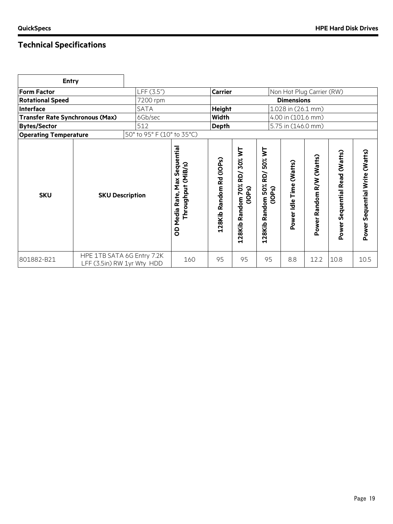| <b>Entry</b>                           |                                                          |                            |                                                                    |                         |                                                       |                                                    |                            |                           |                                  |                                |
|----------------------------------------|----------------------------------------------------------|----------------------------|--------------------------------------------------------------------|-------------------------|-------------------------------------------------------|----------------------------------------------------|----------------------------|---------------------------|----------------------------------|--------------------------------|
| <b>Form Factor</b>                     |                                                          | LFF (3.5")                 |                                                                    | <b>Carrier</b>          |                                                       |                                                    |                            | Non Hot Plug Carrier (RW) |                                  |                                |
| <b>Rotational Speed</b>                |                                                          | 7200 rpm                   |                                                                    |                         |                                                       |                                                    | <b>Dimensions</b>          |                           |                                  |                                |
| <b>Interface</b>                       |                                                          | <b>SATA</b>                |                                                                    | <b>Height</b>           |                                                       |                                                    | 1.028 in (26.1 mm)         |                           |                                  |                                |
| <b>Transfer Rate Synchronous (Max)</b> |                                                          | 6Gb/sec                    |                                                                    | <b>Width</b>            |                                                       |                                                    | 4.00 in (101.6 mm)         |                           |                                  |                                |
| <b>Bytes/Sector</b>                    |                                                          | 512                        |                                                                    | <b>Depth</b>            |                                                       |                                                    | 5.75 in (146.0 mm)         |                           |                                  |                                |
| <b>Operating Temperature</b>           |                                                          | 50° to 95° F (10° to 35°C) |                                                                    |                         |                                                       |                                                    |                            |                           |                                  |                                |
| <b>SKU</b>                             | <b>SKU Description</b>                                   |                            | Sequential<br>Throughput (MiB/s)<br><b>Max</b><br>Media Rate,<br>8 | 128Kib Random Rd (IOPs) | RD/30% WT<br>128Kib Random 70%<br>(10P <sub>S</sub> ) | 50% WT<br>RD/<br>50%<br>(1OPs)<br>Random<br>128Kib | Time (Watts)<br>Power Idle | Power Random R/W (Watts)  | Sequential Read (Watts)<br>Power | Power Sequential Write (Watts) |
| 801882-B21                             | HPE 1TB SATA 6G Entry 7.2K<br>LFF (3.5in) RW 1yr Wty HDD |                            | 160                                                                | 95                      | 95                                                    | 95                                                 | 8.8                        | 12.2                      | 10.8                             | 10.5                           |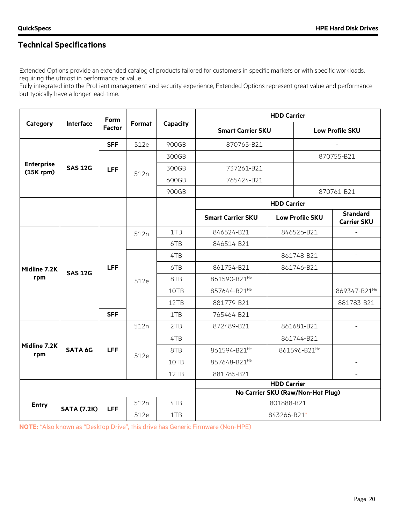Extended Options provide an extended catalog of products tailored for customers in specific markets or with specific workloads, requiring the utmost in performance or value.

Fully integrated into the ProLiant management and security experience, Extended Options represent great value and performance but typically have a longer lead-time.

|                                     |                    | <b>Form</b>   |        |          |                                                                                                                                                                                                                                                                                                                                                                                               |                                                             |                          |                                       |  |
|-------------------------------------|--------------------|---------------|--------|----------|-----------------------------------------------------------------------------------------------------------------------------------------------------------------------------------------------------------------------------------------------------------------------------------------------------------------------------------------------------------------------------------------------|-------------------------------------------------------------|--------------------------|---------------------------------------|--|
| Category                            | Interface          | <b>Factor</b> | Format | Capacity |                                                                                                                                                                                                                                                                                                                                                                                               |                                                             | <b>Low Profile SKU</b>   |                                       |  |
|                                     |                    | <b>SFF</b>    | 512e   | 900GB    | 870765-B21                                                                                                                                                                                                                                                                                                                                                                                    |                                                             |                          |                                       |  |
|                                     |                    |               |        | 300GB    |                                                                                                                                                                                                                                                                                                                                                                                               |                                                             |                          | 870755-B21                            |  |
| <b>Enterprise</b><br>$(15K$ rpm $)$ | <b>SAS 12G</b>     | <b>LFF</b>    | 512n   | 300GB    | 737261-B21                                                                                                                                                                                                                                                                                                                                                                                    |                                                             |                          |                                       |  |
|                                     |                    |               |        | 600GB    | 765424-B21                                                                                                                                                                                                                                                                                                                                                                                    |                                                             |                          |                                       |  |
|                                     |                    |               |        | 900GB    |                                                                                                                                                                                                                                                                                                                                                                                               |                                                             |                          | 870761-B21                            |  |
|                                     |                    |               |        |          |                                                                                                                                                                                                                                                                                                                                                                                               |                                                             |                          |                                       |  |
|                                     |                    |               |        |          | <b>Smart Carrier SKU</b>                                                                                                                                                                                                                                                                                                                                                                      |                                                             |                          | <b>Standard</b><br><b>Carrier SKU</b> |  |
|                                     |                    |               | 512n   | 1TB      | 846524-B21                                                                                                                                                                                                                                                                                                                                                                                    |                                                             |                          |                                       |  |
|                                     |                    |               |        | 6TB      | 846514-B21                                                                                                                                                                                                                                                                                                                                                                                    |                                                             |                          |                                       |  |
|                                     |                    |               |        | 4TB      | $\mathbf{r}$                                                                                                                                                                                                                                                                                                                                                                                  | 861748-B21                                                  |                          | $\equiv$                              |  |
| Midline 7.2K                        | <b>SAS 12G</b>     | <b>LFF</b>    |        | 6TB      | 861754-B21                                                                                                                                                                                                                                                                                                                                                                                    |                                                             |                          | $\overline{\phantom{0}}$              |  |
| rpm                                 |                    |               | 512e   | 8TB      | <b>HDD Carrier</b><br><b>Smart Carrier SKU</b><br><b>HDD Carrier</b><br>846526-B21<br>861746-B21<br>861590-B21 <sup>He</sup><br>857644-B21 <sup>He</sup><br>881779-B21<br>765464-B21<br>$\sim$<br>872489-B21<br>861681-B21<br>861744-B21<br>861594-B21 <sup>He</sup><br>861596-B21 <sup>He</sup><br>857648-B21 <sup>He</sup><br>881785-B21<br><b>HDD Carrier</b><br>801888-B21<br>843266-B21* |                                                             |                          |                                       |  |
|                                     |                    |               |        | 10TB     |                                                                                                                                                                                                                                                                                                                                                                                               | <b>Low Profile SKU</b><br>No Carrier SKU (Raw/Non-Hot Plug) | 869347-B21 <sup>He</sup> |                                       |  |
|                                     |                    |               |        | 12TB     |                                                                                                                                                                                                                                                                                                                                                                                               |                                                             |                          | 881783-B21                            |  |
|                                     |                    | <b>SFF</b>    |        | 1TB      |                                                                                                                                                                                                                                                                                                                                                                                               |                                                             |                          |                                       |  |
|                                     |                    |               | 512n   | 2TB      |                                                                                                                                                                                                                                                                                                                                                                                               |                                                             |                          |                                       |  |
|                                     |                    |               |        | 4TB      |                                                                                                                                                                                                                                                                                                                                                                                               |                                                             |                          |                                       |  |
| Midline 7.2K<br>rpm                 | <b>SATA 6G</b>     | <b>LFF</b>    | 512e   | 8TB      |                                                                                                                                                                                                                                                                                                                                                                                               |                                                             |                          |                                       |  |
|                                     |                    |               |        | 10TB     |                                                                                                                                                                                                                                                                                                                                                                                               |                                                             |                          |                                       |  |
|                                     |                    |               |        | 12TB     |                                                                                                                                                                                                                                                                                                                                                                                               |                                                             |                          |                                       |  |
|                                     |                    |               |        |          |                                                                                                                                                                                                                                                                                                                                                                                               |                                                             |                          |                                       |  |
|                                     |                    |               |        |          |                                                                                                                                                                                                                                                                                                                                                                                               |                                                             |                          |                                       |  |
| <b>Entry</b>                        | <b>SATA (7.2K)</b> | <b>LFF</b>    | 512n   | 4TB      |                                                                                                                                                                                                                                                                                                                                                                                               |                                                             |                          |                                       |  |
|                                     |                    |               | 512e   | 1TB      |                                                                                                                                                                                                                                                                                                                                                                                               |                                                             |                          |                                       |  |

**NOTE:** \*Also known as "Desktop Drive", this drive has Generic Firmware (Non-HPE)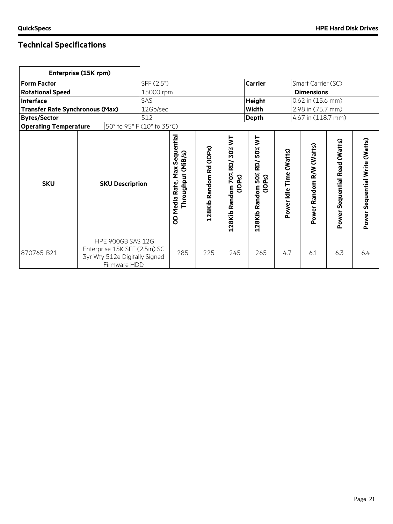| Enterprise (15K rpm)                   |                                                      |                                                                                                            |            |                                                        |                         |                                          |                                              |                         |                          |                               |                                |
|----------------------------------------|------------------------------------------------------|------------------------------------------------------------------------------------------------------------|------------|--------------------------------------------------------|-------------------------|------------------------------------------|----------------------------------------------|-------------------------|--------------------------|-------------------------------|--------------------------------|
| <b>Form Factor</b>                     |                                                      |                                                                                                            | SFF (2.5") |                                                        |                         |                                          | <b>Carrier</b>                               |                         | Smart Carrier (SC)       |                               |                                |
| <b>Rotational Speed</b>                |                                                      |                                                                                                            | 15000 rpm  |                                                        |                         |                                          |                                              |                         | <b>Dimensions</b>        |                               |                                |
| <b>Interface</b>                       |                                                      |                                                                                                            | SAS        |                                                        |                         |                                          | <b>Height</b>                                |                         | 0.62 in (15.6 mm)        |                               |                                |
| <b>Transfer Rate Synchronous (Max)</b> |                                                      |                                                                                                            | 12Gb/sec   |                                                        |                         |                                          | Width                                        |                         | 2.98 in (75.7 mm)        |                               |                                |
| <b>Bytes/Sector</b>                    |                                                      |                                                                                                            | 512        |                                                        |                         |                                          | <b>Depth</b>                                 |                         | 4.67 in (118.7 mm)       |                               |                                |
| <b>Operating Temperature</b>           |                                                      |                                                                                                            |            |                                                        |                         |                                          |                                              |                         |                          |                               |                                |
| <b>SKU</b>                             | 50° to 95° F (10° to 35°C)<br><b>SKU Description</b> |                                                                                                            |            | Max Sequential<br>Throughput (MiB/s)<br>OD Media Rate, | 128Kib Random Rd (IOPs) | 70% RD/30% WT<br>(1OPs)<br>128Kib Random | 50% WT<br>RD/<br>128Kib Random 50%<br>(1OPs) | Power Idle Time (Watts) | Power Random R/W (Watts) | Power Sequential Read (Watts) | Power Sequential Write (Watts) |
| 870765-B21                             |                                                      | <b>HPE 900GB SAS 12G</b><br>Enterprise 15K SFF (2.5in) SC<br>3yr Wty 512e Digitally Signed<br>Firmware HDD |            | 285                                                    | 225                     | 245                                      | 265                                          | 4.7                     | 6.1                      | 6.3                           | 6.4                            |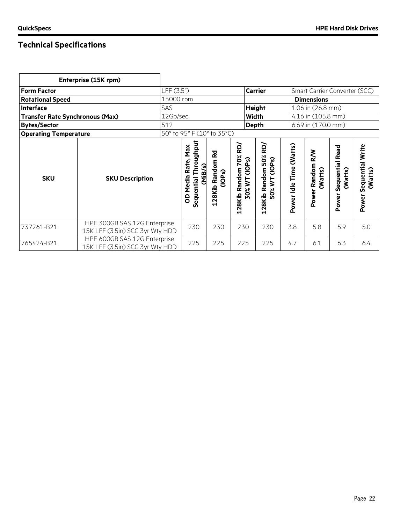|                                                                      | Enterprise (15K rpm)                                            |                            |                                                                        |                                              |                                                                         |                                                                                          |                            |                             |                                     |                                      |  |
|----------------------------------------------------------------------|-----------------------------------------------------------------|----------------------------|------------------------------------------------------------------------|----------------------------------------------|-------------------------------------------------------------------------|------------------------------------------------------------------------------------------|----------------------------|-----------------------------|-------------------------------------|--------------------------------------|--|
| <b>Form Factor</b>                                                   |                                                                 | LFF (3.5")                 |                                                                        |                                              |                                                                         | <b>Carrier</b><br>Smart Carrier Converter (SCC)                                          |                            |                             |                                     |                                      |  |
| <b>Rotational Speed</b>                                              |                                                                 | 15000 rpm                  |                                                                        |                                              |                                                                         | <b>Dimensions</b>                                                                        |                            |                             |                                     |                                      |  |
| Interface                                                            |                                                                 | SAS                        |                                                                        |                                              |                                                                         | <b>Height</b>                                                                            |                            | 1.06 in (26.8 mm)           |                                     |                                      |  |
| <b>Transfer Rate Synchronous (Max)</b>                               |                                                                 | 12Gb/sec                   |                                                                        |                                              |                                                                         | 4.16 in (105.8 mm)<br>Width                                                              |                            |                             |                                     |                                      |  |
| <b>Bytes/Sector</b>                                                  |                                                                 | 512                        |                                                                        |                                              | <b>Depth</b>                                                            |                                                                                          |                            | 6.69 in (170.0 mm)          |                                     |                                      |  |
|                                                                      |                                                                 | 50° to 95° F (10° to 35°C) |                                                                        |                                              |                                                                         |                                                                                          |                            |                             |                                     |                                      |  |
| <b>Operating Temperature</b><br><b>SKU</b><br><b>SKU Description</b> |                                                                 |                            | Throughput<br>Max<br>Rate,<br>(MiB/S)<br>Media<br>M<br>Sequential<br>8 | 줂<br>Random<br>(10P <sub>S</sub> )<br>128Kib | yay<br>70%<br>(10P <sub>S</sub> )<br>Random<br>$\zeta$<br>30%<br>128Kib | RD/<br>50%<br>(10P <sub>S</sub> )<br>Random<br>$\overline{\phantom{a}}$<br>50%<br>128Kib | Time (Watts)<br>Power Idle | Power Random R/W<br>(Watts) | Sequential Read<br>(Watts)<br>Power | Sequential Write<br>(Watts)<br>Power |  |
| 737261-B21                                                           | HPE 300GB SAS 12G Enterprise<br>15K LFF (3.5in) SCC 3yr Wty HDD |                            | 230                                                                    | 230                                          | 230                                                                     | 230                                                                                      | 3.8                        | 5.8                         | 5.9                                 | 5.0                                  |  |
| 765424-B21                                                           | HPE 600GB SAS 12G Enterprise<br>15K LFF (3.5in) SCC 3yr Wty HDD |                            | 225                                                                    | 225                                          | 225                                                                     | 225                                                                                      | 4.7                        | 6.1                         | 6.3                                 | 6.4                                  |  |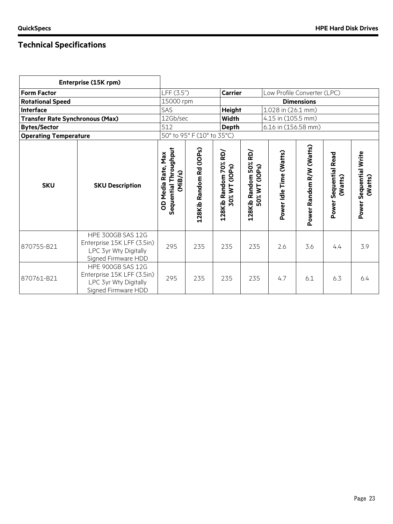|                                        | Enterprise (15K rpm)                                                                                   |                                                        |                            |                                        |                                                                      |                                                                                            |                   |     |                                      |  |  |
|----------------------------------------|--------------------------------------------------------------------------------------------------------|--------------------------------------------------------|----------------------------|----------------------------------------|----------------------------------------------------------------------|--------------------------------------------------------------------------------------------|-------------------|-----|--------------------------------------|--|--|
| <b>Form Factor</b>                     |                                                                                                        | LFF (3.5")                                             |                            | <b>Carrier</b>                         |                                                                      | Low Profile Converter (LPC)                                                                |                   |     |                                      |  |  |
| <b>Rotational Speed</b>                |                                                                                                        | 15000 rpm                                              |                            |                                        |                                                                      |                                                                                            | <b>Dimensions</b> |     |                                      |  |  |
| Interface                              |                                                                                                        | SAS                                                    |                            | <b>Height</b>                          |                                                                      | 1.028 in (26.1 mm)                                                                         |                   |     |                                      |  |  |
| <b>Transfer Rate Synchronous (Max)</b> |                                                                                                        | 12Gb/sec                                               |                            | <b>Width</b>                           |                                                                      | 4.15 in (105.5 mm)                                                                         |                   |     |                                      |  |  |
| <b>Bytes/Sector</b>                    |                                                                                                        | 512                                                    |                            | <b>Depth</b>                           |                                                                      | 6.16 in (156.58 mm)                                                                        |                   |     |                                      |  |  |
| <b>Operating Temperature</b>           |                                                                                                        |                                                        | 50° to 95° F (10° to 35°C) |                                        |                                                                      |                                                                                            |                   |     |                                      |  |  |
| <b>SKU</b>                             | <b>SKU Description</b>                                                                                 | Sequential Throughput<br>OD Media Rate, Max<br>(MiB/s) | 128Kib Random Rd (IOPs)    | 128Kib Random 70% RD/<br>30% WT (IOPs) | RD)<br>128Kib Random 50%<br>(10Ps)<br>$\overline{\mathsf{z}}$<br>50% | Power Random R/W (Watts)<br>Power Idle Time (Watts)<br>Sequential Read<br>(Watts)<br>Power |                   |     | Sequential Write<br>(Watts)<br>Power |  |  |
| 870755-B21                             | <b>HPE 300GB SAS 12G</b><br>Enterprise 15K LFF (3.5in)<br>LPC 3yr Wty Digitally<br>Signed Firmware HDD | 295                                                    | 235                        | 235                                    | 235                                                                  | 2.6                                                                                        | 3.6               | 4.4 | 3.9                                  |  |  |
| 870761-B21                             | HPE 900GB SAS 12G<br>Enterprise 15K LFF (3.5in)<br>LPC 3yr Wty Digitally<br>Signed Firmware HDD        | 295                                                    | 235                        | 235                                    | 235                                                                  | 4.7                                                                                        | 6.1               | 6.3 | 6.4                                  |  |  |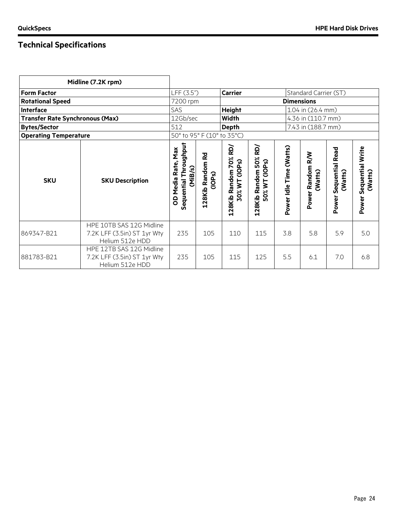|                                        | Midline (7.2K rpm)                                                         |                                                                     |                                         |                                                       |                                           |                         |                             |                                            |                                             |
|----------------------------------------|----------------------------------------------------------------------------|---------------------------------------------------------------------|-----------------------------------------|-------------------------------------------------------|-------------------------------------------|-------------------------|-----------------------------|--------------------------------------------|---------------------------------------------|
| <b>Form Factor</b>                     |                                                                            | LFF (3.5")                                                          |                                         | <b>Carrier</b>                                        |                                           |                         | Standard Carrier (ST)       |                                            |                                             |
| <b>Rotational Speed</b>                |                                                                            | 7200 rpm                                                            |                                         |                                                       |                                           | <b>Dimensions</b>       |                             |                                            |                                             |
| Interface                              |                                                                            | SAS                                                                 |                                         | <b>Height</b>                                         |                                           | 1.04 in (26.4 mm)       |                             |                                            |                                             |
| <b>Transfer Rate Synchronous (Max)</b> |                                                                            | 12Gb/sec                                                            | Width                                   |                                                       |                                           | 4.36 in (110.7 mm)      |                             |                                            |                                             |
| <b>Bytes/Sector</b>                    |                                                                            | 512                                                                 |                                         | <b>Depth</b>                                          |                                           |                         | 7.43 in (188.7 mm)          |                                            |                                             |
| <b>Operating Temperature</b>           |                                                                            |                                                                     |                                         | 50° to 95° F (10° to 35°C)                            |                                           |                         |                             |                                            |                                             |
| <b>SKU</b>                             | <b>SKU Description</b>                                                     | <b>Indupil</b><br>OD Media Rate, Max<br>Sequential Throu<br>(MiB/s) | 128Kib Random Rd<br>(10P <sub>S</sub> ) | RD)<br>70%<br>ି<br>dop.<br>Random<br>30% WT<br>128Kib | kD/<br>128Kib Random 50%<br>50% WT (IOPs) | Power Idle Time (Watts) | Power Random R/W<br>(Watts) | <b>Sequential Read</b><br>(Watts)<br>Power | Sequential Write<br>(Watts)<br><b>Power</b> |
| 869347-B21                             | HPE 10TB SAS 12G Midline<br>7.2K LFF (3.5in) ST 1yr Wty<br>Helium 512e HDD | 235                                                                 | 105                                     | 110                                                   | 115                                       | 3.8                     | 5.8                         | 5.9                                        | 5.0                                         |
| 881783-B21                             | HPE 12TB SAS 12G Midline<br>7.2K LFF (3.5in) ST 1yr Wty<br>Helium 512e HDD | 235                                                                 | 105                                     | 115                                                   | 125                                       | 5.5                     | 6.1                         | 7.0                                        | 6.8                                         |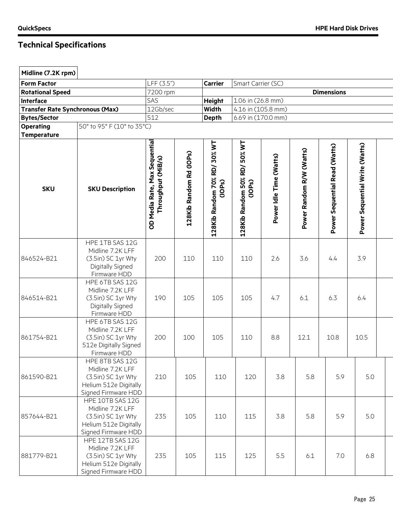| Midline (7.2K rpm)      |                                                                                                            |                                                     |                         |                                       |                                        |                         |                          |                               |                                |  |
|-------------------------|------------------------------------------------------------------------------------------------------------|-----------------------------------------------------|-------------------------|---------------------------------------|----------------------------------------|-------------------------|--------------------------|-------------------------------|--------------------------------|--|
| <b>Form Factor</b>      |                                                                                                            | LFF (3.5")                                          |                         | <b>Carrier</b>                        | Smart Carrier (SC)                     |                         |                          |                               |                                |  |
| <b>Rotational Speed</b> |                                                                                                            | 7200 rpm                                            |                         |                                       |                                        |                         |                          | <b>Dimensions</b>             |                                |  |
| <b>Interface</b>        |                                                                                                            | SAS                                                 |                         | <b>Height</b>                         | 1.06 in (26.8 mm)                      |                         |                          |                               |                                |  |
|                         | <b>Transfer Rate Synchronous (Max)</b>                                                                     | 12Gb/sec                                            |                         | Width                                 | 4.16 in (105.8 mm)                     |                         |                          |                               |                                |  |
| <b>Bytes/Sector</b>     |                                                                                                            | 512                                                 |                         | <b>Depth</b>                          | 6.69 in (170.0 mm)                     |                         |                          |                               |                                |  |
| <b>Operating</b>        | 50° to 95° F (10° to 35°C)                                                                                 |                                                     |                         |                                       |                                        |                         |                          |                               |                                |  |
| <b>Temperature</b>      |                                                                                                            |                                                     |                         |                                       |                                        |                         |                          |                               |                                |  |
| <b>SKU</b>              | <b>SKU Description</b>                                                                                     | OD Media Rate, Max Sequential<br>Throughput (MiB/s) | 128Kib Random Rd (IOPs) | 128Kib Random 70% RD/30% WT<br>(1OPs) | 128Kib Random 50% RD/ 50% WT<br>(IOPs) | Power Idle Time (Watts) | Power Random R/W (Watts) | Power Sequential Read (Watts) | Power Sequential Write (Watts) |  |
| 846524-B21              | HPE 1TB SAS 12G<br>Midline 7.2K LFF<br>(3.5in) SC 1yr Wty<br>Digitally Signed<br>Firmware HDD              | 200                                                 | 110                     | 110                                   | 110                                    | 2.6                     | 3.6                      | 4.4                           | 3.9                            |  |
| 846514-B21              | HPE 6TB SAS 12G<br>Midline 7.2K LFF<br>(3.5in) SC 1yr Wty<br>Digitally Signed<br>Firmware HDD              | 190                                                 | 105                     | 105                                   | 105                                    | 4.7                     | 6.1                      | 6.3                           | 6.4                            |  |
| 861754-B21              | HPE 6TB SAS 12G<br>Midline 7.2K LFF<br>(3.5in) SC 1yr Wty<br>512e Digitally Signed<br>Firmware HDD         | 200                                                 | 100                     | 105                                   | 110                                    | 8.8                     | 12.1                     | 10.8                          | 10.5                           |  |
| 861590-B21              | HPE 8TB SAS 12G<br>Midline 7.2K LFF<br>(3.5in) SC 1yr Wty<br>Helium 512e Digitally<br>Signed Firmware HDD  | 210                                                 | 105                     | 110                                   | 120                                    | 3.8                     | 5.8                      | 5.9                           | 5.0                            |  |
| 857644-B21              | HPE 10TB SAS 12G<br>Midline 7.2K LFF<br>(3.5in) SC 1yr Wty<br>Helium 512e Digitally<br>Signed Firmware HDD | 235                                                 | 105                     | 110                                   | 115                                    | 3.8                     | 5.8                      | 5.9                           | 5.0                            |  |
| 881779-B21              | HPE 12TB SAS 12G<br>Midline 7.2K LFF<br>(3.5in) SC 1yr Wty<br>Helium 512e Digitally<br>Signed Firmware HDD | 235                                                 | 105                     | 115                                   | 125                                    | 5.5                     | 6.1                      | 7.0                           | 6.8                            |  |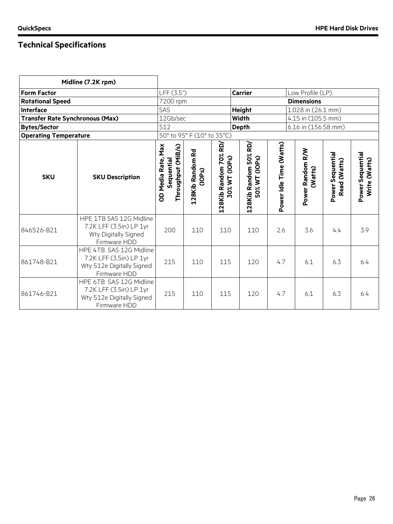| Midline (7.2K rpm)                     |                                                                                                 |                            |                                                           |                                              |                                    |                             |                                  |                                   |     |
|----------------------------------------|-------------------------------------------------------------------------------------------------|----------------------------|-----------------------------------------------------------|----------------------------------------------|------------------------------------|-----------------------------|----------------------------------|-----------------------------------|-----|
| <b>Form Factor</b>                     |                                                                                                 | LFF (3.5")                 |                                                           |                                              | <b>Carrier</b><br>Low Profile (LP) |                             |                                  |                                   |     |
| <b>Rotational Speed</b>                |                                                                                                 |                            | 7200 rpm                                                  |                                              |                                    |                             | <b>Dimensions</b>                |                                   |     |
| <b>Interface</b>                       |                                                                                                 | SAS                        |                                                           |                                              | <b>Height</b>                      |                             | 1.028 in (26.1 mm)               |                                   |     |
| <b>Transfer Rate Synchronous (Max)</b> |                                                                                                 | 12Gb/sec                   |                                                           |                                              | <b>Width</b>                       |                             | 4.15 in (105.5 mm)               |                                   |     |
| <b>Bytes/Sector</b>                    |                                                                                                 | 512                        |                                                           |                                              | <b>Depth</b>                       |                             | 6.16 in (156.58 mm)              |                                   |     |
| <b>Operating Temperature</b>           |                                                                                                 |                            | 50° to 95° F (10° to 35°C)                                |                                              |                                    |                             |                                  |                                   |     |
| <b>SKU</b>                             | Max<br>Throughput (MiB/s)<br>OD Media Rate,<br>Sequential                                       | 128Kib Random Rd<br>(1OPs) | RD)<br>128Kib Random 70%<br>(10P <sub>S</sub> )<br>30% WT | RD/<br>50%<br>50% WT (IOPs)<br>128Kib Random | Power Idle Time (Watts)            | Power Random R/W<br>(Watts) | Power Sequential<br>Read (Watts) | Power Sequential<br>Write (Watts) |     |
| 846526-B21                             | HPE 1TB SAS 12G Midline<br>7.2K LFF (3.5in) LP 1yr<br>Wty Digitally Signed<br>Firmware HDD      | 200                        | 110                                                       | 110                                          | 110                                | 2.6                         | 3.6                              | 4.4                               | 3.9 |
| 861748-B21                             | HPE 4TB SAS 12G Midline<br>7.2K LFF (3.5in) LP 1yr<br>Wty 512e Digitally Signed<br>Firmware HDD | 215                        | 110                                                       | 115                                          | 120                                | 4.7                         | 6.1                              | 6.3                               | 6.4 |
| 861746-B21                             | HPE 6TB SAS 12G Midline<br>7.2K LFF (3.5in) LP 1yr<br>Wty 512e Digitally Signed<br>Firmware HDD | 215                        | 110                                                       | 115                                          | 120                                | 4.7                         | 6.1                              | 6.3                               | 6.4 |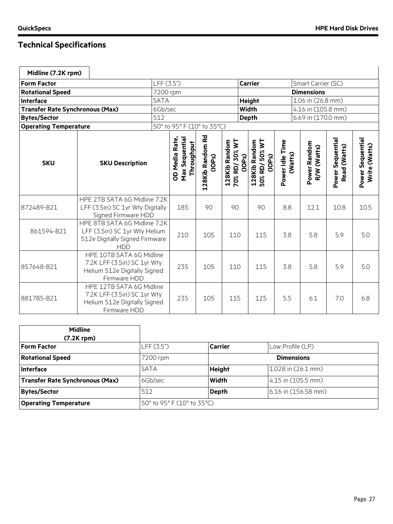| Midline (7.2K rpm)                     |                                                                                                               |             |                                                |                            |                                |               |                                           |                            |                             |                                  |                                   |
|----------------------------------------|---------------------------------------------------------------------------------------------------------------|-------------|------------------------------------------------|----------------------------|--------------------------------|---------------|-------------------------------------------|----------------------------|-----------------------------|----------------------------------|-----------------------------------|
| <b>Form Factor</b>                     |                                                                                                               |             | LFF (3.5")                                     |                            |                                |               | <b>Carrier</b>                            |                            | Smart Carrier (SC)          |                                  |                                   |
| <b>Rotational Speed</b>                |                                                                                                               |             | 7200 rpm                                       |                            |                                |               |                                           |                            | <b>Dimensions</b>           |                                  |                                   |
| <b>Interface</b>                       |                                                                                                               | <b>SATA</b> |                                                |                            |                                | <b>Height</b> |                                           |                            | 1.06 in (26.8 mm)           |                                  |                                   |
| <b>Transfer Rate Synchronous (Max)</b> |                                                                                                               | 6Gb/sec     |                                                |                            |                                | <b>Width</b>  |                                           |                            | 4.16 in (105.8 mm)          |                                  |                                   |
| <b>Bytes/Sector</b>                    |                                                                                                               | 512         |                                                |                            |                                | <b>Depth</b>  |                                           |                            | 6.69 in (170.0 mm)          |                                  |                                   |
| <b>Operating Temperature</b>           |                                                                                                               |             | 50° to 95° F (10° to 35°C)                     |                            |                                |               |                                           |                            |                             |                                  |                                   |
| <b>SKU</b><br><b>SKU Description</b>   |                                                                                                               |             | OD Media Rate,<br>Max Sequential<br>Throughput | 128Kib Random Rd<br>(1OPs) | 70% RD/30% WT<br>128Kib Random | (1OPs)        | 128Kib Random<br>50% RD/ 50% WT<br>(1OPs) | Power Idle Time<br>(Watts) | Power Random<br>R/W (Watts) | Power Sequential<br>Read (Watts) | Power Sequential<br>Write (Watts) |
| 872489-B21                             | HPE 2TB SATA 6G Midline 7.2K<br>LFF (3.5in) SC 1yr Wty Digitally<br>Signed Firmware HDD                       |             | 185                                            | 90                         | 90                             |               | 90                                        | 8.8                        | 12.1                        | 10.8                             | 10.5                              |
| 861594-B21                             | HPE 8TB SATA 6G Midline 7.2K<br>LFF (3.5in) SC 1yr Wty Helium<br>512e Digitally Signed Firmware<br><b>HDD</b> |             | 210                                            | 105                        | 110                            |               | 115                                       | 3.8                        | 5.8                         | 5.9                              | 5.0                               |
| 857648-B21                             | HPE 10TB SATA 6G Midline<br>7.2K LFF (3.5in) SC 1yr Wty<br>Helium 512e Digitally Signed<br>Firmware HDD       |             | 235                                            | 105                        | 110                            |               | 115                                       | 3.8                        | 5.8                         | 5.9                              | 5.0                               |
| 881785-B21                             | HPE 12TB SATA 6G Midline<br>7.2K LFF (3.5in) SC 1yr Wty<br>Helium 512e Digitally Signed<br>Firmware HDD       |             | 235                                            | 105                        | 115                            |               | 125                                       | 5.5                        | 6.1                         | 7.0                              | 6.8                               |

| <b>Midline</b><br>$(7.2K$ rpm $)$ |                            |                |                     |
|-----------------------------------|----------------------------|----------------|---------------------|
| <b>Form Factor</b>                | LFF (3.5")                 | <b>Carrier</b> | Low Profile (LP)    |
| <b>Rotational Speed</b>           | 7200 rpm                   |                | <b>Dimensions</b>   |
| Interface                         | <b>SATA</b>                | <b>Height</b>  | 1.028 in (26.1 mm)  |
| Transfer Rate Synchronous (Max)   | 6Gb/sec                    | Width          | 4.15 in (105.5 mm)  |
| <b>Bytes/Sector</b>               | 512                        | <b>Depth</b>   | 6.16 in (156.58 mm) |
| <b>Operating Temperature</b>      | 50° to 95° F (10° to 35°C) |                |                     |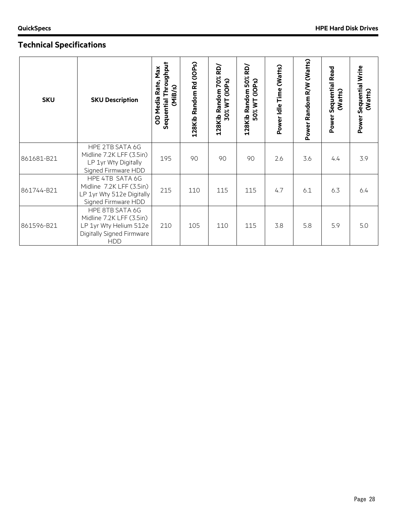| <b>SKU</b> | <b>SKU Description</b>                                                                                           | Sequential Throughput<br>Rate, Max<br>(MiB/s)<br><b>OD Media</b> | 128Kib Random Rd (IOPs) | RD/<br>128Kib Random 70%<br>30% WT (IOPs) | RD/<br>128Kib Random 50%<br>50% WT (IOPs) | Power Idle Time (Watts) | Power Random R/W (Watts) | <b>Sequential Read</b><br>(Watts)<br>Power | Power Sequential Write<br>(Watts) |
|------------|------------------------------------------------------------------------------------------------------------------|------------------------------------------------------------------|-------------------------|-------------------------------------------|-------------------------------------------|-------------------------|--------------------------|--------------------------------------------|-----------------------------------|
| 861681-B21 | HPE 2TB SATA 6G<br>Midline 7.2K LFF (3.5in)<br>LP 1yr Wty Digitally<br>Signed Firmware HDD                       | 195                                                              | 90                      | 90                                        | 90                                        | 2.6                     | 3.6                      | 4.4                                        | 3.9                               |
| 861744-B21 | HPE 4TB SATA 6G<br>Midline 7.2K LFF (3.5in)<br>LP 1yr Wty 512e Digitally<br>Signed Firmware HDD                  | 215                                                              | 110                     | 115                                       | 115                                       | 4.7                     | 6.1                      | 6.3                                        | 6.4                               |
| 861596-B21 | HPE 8TB SATA 6G<br>Midline 7.2K LFF (3.5in)<br>LP 1yr Wty Helium 512e<br>Digitally Signed Firmware<br><b>HDD</b> | 210                                                              | 105                     | 110                                       | 115                                       | 3.8                     | 5.8                      | 5.9                                        | 5.0                               |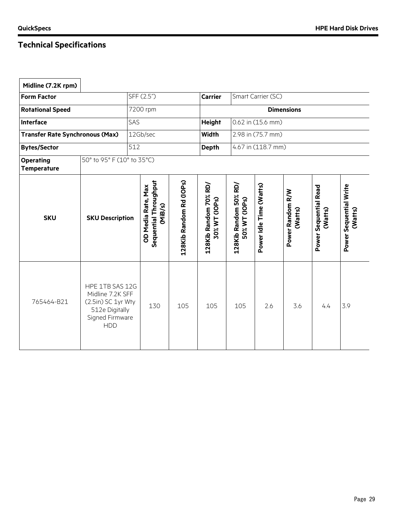| Midline (7.2K rpm)                     |                                                                                                              |                                                        |                         |                                        |                                        |                         |                             |                                  |                                   |
|----------------------------------------|--------------------------------------------------------------------------------------------------------------|--------------------------------------------------------|-------------------------|----------------------------------------|----------------------------------------|-------------------------|-----------------------------|----------------------------------|-----------------------------------|
| <b>Form Factor</b>                     |                                                                                                              | SFF (2.5")                                             |                         | <b>Carrier</b>                         |                                        | Smart Carrier (SC)      |                             |                                  |                                   |
| <b>Rotational Speed</b>                | 7200 rpm                                                                                                     |                                                        |                         |                                        |                                        |                         | <b>Dimensions</b>           |                                  |                                   |
| <b>Interface</b>                       |                                                                                                              | SAS                                                    |                         | <b>Height</b>                          |                                        | 0.62 in (15.6 mm)       |                             |                                  |                                   |
| <b>Transfer Rate Synchronous (Max)</b> |                                                                                                              | 12Gb/sec                                               |                         | <b>Width</b>                           |                                        | 2.98 in (75.7 mm)       |                             |                                  |                                   |
| <b>Bytes/Sector</b>                    |                                                                                                              | 512                                                    |                         | <b>Depth</b>                           |                                        | 4.67 in (118.7 mm)      |                             |                                  |                                   |
| <b>Operating</b><br><b>Temperature</b> | 50° to 95° F (10° to 35°C)                                                                                   |                                                        |                         |                                        |                                        |                         |                             |                                  |                                   |
| <b>SKU</b>                             | <b>SKU Description</b>                                                                                       | Sequential Throughput<br>OD Media Rate, Max<br>(MiB/s) | 128Kib Random Rd (IOPs) | 128Kib Random 70% RD/<br>30% WT (IOPs) | 128Kib Random 50% RD/<br>50% WT (IOPs) | Power Idle Time (Watts) | Power Random R/W<br>(Watts) | Power Sequential Read<br>(Watts) | Power Sequential Write<br>(Watts) |
| 765464-B21                             | HPE 1TB SAS 12G<br>Midline 7.2K SFF<br>(2.5in) SC 1yr Wty<br>512e Digitally<br>Signed Firmware<br><b>HDD</b> | 130                                                    | 105                     | 105                                    | 105                                    | 2.6                     | 3.6                         | 4.4                              | 3.9                               |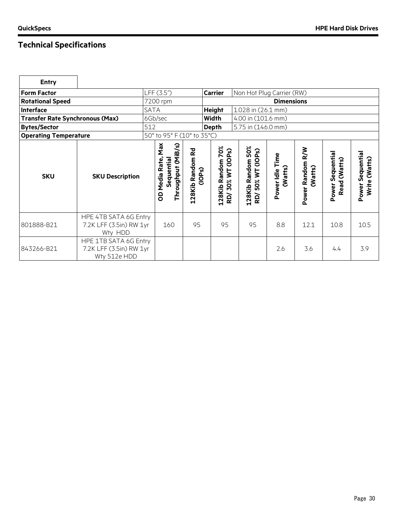| <b>Entry</b>                           |                                                                  |             |                                                                     |                                      |                                                                                          |                                                              |                            |                                       |                                  |                                         |
|----------------------------------------|------------------------------------------------------------------|-------------|---------------------------------------------------------------------|--------------------------------------|------------------------------------------------------------------------------------------|--------------------------------------------------------------|----------------------------|---------------------------------------|----------------------------------|-----------------------------------------|
| <b>Form Factor</b>                     |                                                                  | LFF (3.5")  |                                                                     |                                      | <b>Carrier</b>                                                                           | Non Hot Plug Carrier (RW)                                    |                            |                                       |                                  |                                         |
| <b>Rotational Speed</b>                |                                                                  | 7200 rpm    |                                                                     |                                      |                                                                                          |                                                              | <b>Dimensions</b>          |                                       |                                  |                                         |
| <b>Interface</b>                       |                                                                  | <b>SATA</b> |                                                                     |                                      | <b>Height</b>                                                                            | 1.028 in (26.1 mm)                                           |                            |                                       |                                  |                                         |
| <b>Transfer Rate Synchronous (Max)</b> |                                                                  | 6Gb/sec     |                                                                     |                                      | Width                                                                                    | 4.00 in (101.6 mm)                                           |                            |                                       |                                  |                                         |
| <b>Bytes/Sector</b>                    |                                                                  | 512         |                                                                     |                                      | <b>Depth</b>                                                                             | 5.75 in (146.0 mm)                                           |                            |                                       |                                  |                                         |
| <b>Operating Temperature</b>           |                                                                  |             | 50° to 95° F (10° to 35°C)                                          |                                      |                                                                                          |                                                              |                            |                                       |                                  |                                         |
| <b>SKU</b>                             | <b>SKU Description</b>                                           |             | <b>Max</b><br>(MiB/s)<br>OD Media Rate,<br>Sequential<br>Throughput | <b>Rd</b><br>128Kib Random<br>(1OPs) | 70%<br>(10P <sub>S</sub> )<br>Random<br>$\overline{\phantom{a}}$<br>30%<br>128Kib<br>kD/ | 50%<br>(10P <sub>S</sub> )<br>128Kib Random<br>50% WT<br>RD/ | Power Idle Time<br>(Watts) | <b>N/R</b><br>Power Random<br>(Watts) | Power Sequential<br>Read (Watts) | Sequential<br>(Watts)<br>Write<br>Power |
| 801888-B21                             | HPE 4TB SATA 6G Entry<br>7.2K LFF (3.5in) RW 1yr<br>Wty HDD      |             | 160                                                                 | 95                                   | 95                                                                                       | 95                                                           | 8.8                        | 12.1                                  | 10.8                             | 10.5                                    |
| 843266-B21                             | HPE 1TB SATA 6G Entry<br>7.2K LFF (3.5in) RW 1yr<br>Wty 512e HDD |             |                                                                     |                                      |                                                                                          |                                                              | 2.6                        | 3.6                                   | 4.4                              | 3.9                                     |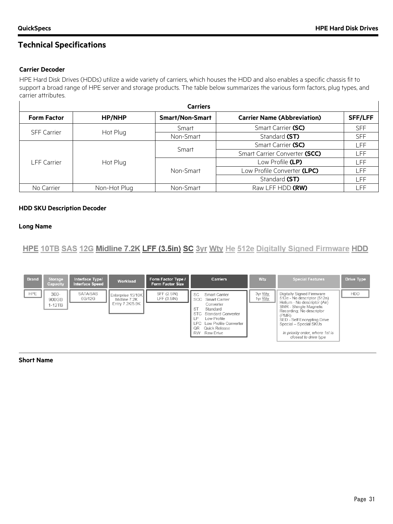#### **Carrier Decoder**

HPE Hard Disk Drives (HDDs) utilize a wide variety of carriers, which houses the HDD and also enables a specific chassis fit to support a broad range of HPE server and storage products. The table below summarizes the various form factors, plug types, and carrier attributes.

| <b>Carriers</b>                |               |                        |                                    |                |  |  |  |  |
|--------------------------------|---------------|------------------------|------------------------------------|----------------|--|--|--|--|
| <b>Form Factor</b>             | <b>HP/NHP</b> | <b>Smart/Non-Smart</b> | <b>Carrier Name (Abbreviation)</b> | <b>SFF/LFF</b> |  |  |  |  |
|                                |               | Smart                  | Smart Carrier (SC)                 | <b>SFF</b>     |  |  |  |  |
| <b>SFF Carrier</b><br>Hot Plug | Non-Smart     | Standard (ST)          | <b>SFF</b>                         |                |  |  |  |  |
|                                |               | Smart                  | Smart Carrier (SC)                 | _FF.           |  |  |  |  |
|                                |               |                        | Smart Carrier Converter (SCC)      | .FF            |  |  |  |  |
| LFF Carrier                    | Hot Plug      |                        | Low Profile (LP)                   | .FF            |  |  |  |  |
|                                |               | Non-Smart              | Low Profile Converter (LPC)        | .FF            |  |  |  |  |
|                                |               |                        | Standard (ST)                      | .FF            |  |  |  |  |
| No Carrier                     | Non-Hot Plug  | Non-Smart              | Raw LFF HDD (RW)                   | FF             |  |  |  |  |

#### **HDD SKU Description Decoder**

#### **Long Name**

HPE 10TB SAS 12G Midline 7.2K LFF (3.5in) SC 3yr Wtv He 512e Digitally Signed Firmware HDD

| <b>Brand</b> | Storage<br>Capacity          | Interface Type/<br>Interface Speed | Workload                                             | Form Factor Type /<br><b>Form Factor Size</b> | <b>Carriers</b>                                                                                                                                                                                              | <b>Wty</b>                | <b>Special Features</b>                                                                                                                                                                                                                                                      | Drive Type |
|--------------|------------------------------|------------------------------------|------------------------------------------------------|-----------------------------------------------|--------------------------------------------------------------------------------------------------------------------------------------------------------------------------------------------------------------|---------------------------|------------------------------------------------------------------------------------------------------------------------------------------------------------------------------------------------------------------------------------------------------------------------------|------------|
| <b>HPE</b>   | $300 -$<br>900GB<br>$1-12TB$ | <b>SATA/SAS</b><br>6G/12G          | Enterprise 15/10K<br>Midline 7.2K<br>Entry 7.2K/5.9K | SFF (2.5IN)<br>LFF $(3.5I)$                   | SC.<br>Smart Carrier<br>SCC Smart Carrier<br>Converter<br><b>ST</b><br>Standard<br>STC Standard Converter<br>LΡ<br>Low Profile<br>LPC Low Profile Converter<br>Quick Release<br>OR<br><b>RW</b><br>Raw Drive | 3yr Wty<br>1yr <u>Wty</u> | Digitally Signed Firmware<br>512e - No descriptor (512n)<br>Helium - No descriptor (Air)<br>SMR - Shingle Magnetic<br>Recording; No descriptor<br>(PMR)<br>SED - Self Encrypting Drive<br>Special - Special SKUs<br>In priority order, where 1st is<br>closest to drive type | <b>HDD</b> |

#### **Short Name**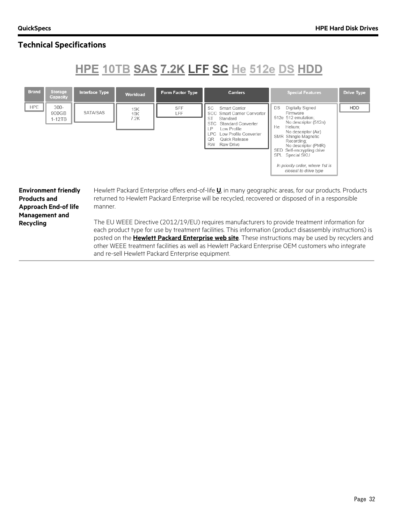# HPE 10TB SAS 7.2K LFF SC He 512e DS HDD

| <b>Brand</b><br><b>Storage</b><br>Capacity                                                                              | <b>Interface Type</b> | Workload           | Form Factor Type                                  | <b>Carriers</b>                                                                                                                                                                                                                                   | <b>Special Features</b>                                                                                                                                                                                                                                                                                                                                                                                                                                                                                                                                                                                                                               | <b>Drive Type</b> |
|-------------------------------------------------------------------------------------------------------------------------|-----------------------|--------------------|---------------------------------------------------|---------------------------------------------------------------------------------------------------------------------------------------------------------------------------------------------------------------------------------------------------|-------------------------------------------------------------------------------------------------------------------------------------------------------------------------------------------------------------------------------------------------------------------------------------------------------------------------------------------------------------------------------------------------------------------------------------------------------------------------------------------------------------------------------------------------------------------------------------------------------------------------------------------------------|-------------------|
| <b>HPE</b><br>$300-$<br>900GB<br>$1-12TB$                                                                               | SATA/SAS              | 15K<br>10K<br>7.2K | <b>SFF</b><br>LFF                                 | Smart Carrier<br><b>SC</b><br>SCC Smart Carrier Converter<br><b>ST</b><br>Standard<br><b>Standard Converter</b><br><b>STC</b><br>LP<br>Low Profile<br><b>LPC</b><br>Low Profile Converter<br>QR<br>Quick Release<br><b>RW</b><br><b>Raw Drive</b> | Digitally Signed<br>DS<br>Firmware<br>512e 512 emulation:<br>No descriptor (512n)<br>Helium;<br>He<br>No descriptor (Air)<br>SMR Shingle Magnetic<br>Recording:<br>No descriptor (PMR)<br>SED Self-encrypting drive<br>Special SKU<br><b>SPL</b><br>In priority order, where 1st is<br>closest to drive type                                                                                                                                                                                                                                                                                                                                          | HDD               |
| <b>Environment friendly</b><br><b>Products and</b><br><b>Approach End-of life</b><br><b>Management and</b><br>Recycling | manner.               |                    | and re-sell Hewlett Packard Enterprise equipment. |                                                                                                                                                                                                                                                   | Hewlett Packard Enterprise offers end-of-life <b>U</b> , in many geographic areas, for our products. Products<br>returned to Hewlett Packard Enterprise will be recycled, recovered or disposed of in a responsible<br>The EU WEEE Directive (2012/19/EU) requires manufacturers to provide treatment information for<br>each product type for use by treatment facilities. This information (product disassembly instructions) is<br>posted on the <b>Hewlett Packard Enterprise web site</b> . These instructions may be used by recyclers and<br>other WEEE treatment facilities as well as Hewlett Packard Enterprise OEM customers who integrate |                   |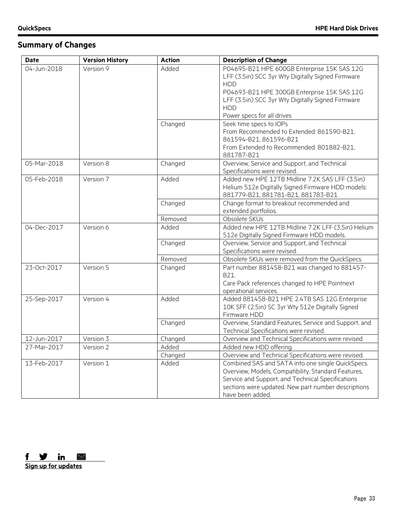# **Summary of Changes**

| <b>Date</b>                | <b>Version History</b> | <b>Action</b>    | <b>Description of Change</b>                                                                             |
|----------------------------|------------------------|------------------|----------------------------------------------------------------------------------------------------------|
| 04-Jun-2018                | Version 9              | Added            | P04695-B21 HPE 600GB Enterprise 15K SAS 12G                                                              |
|                            |                        |                  | LFF (3.5in) SCC 3yr Wty Digitally Signed Firmware                                                        |
|                            |                        |                  | <b>HDD</b>                                                                                               |
|                            |                        |                  | P04693-B21 HPE 300GB Enterprise 15K SAS 12G                                                              |
|                            |                        |                  | LFF (3.5in) SCC 3yr Wty Digitally Signed Firmware                                                        |
|                            |                        |                  | <b>HDD</b>                                                                                               |
|                            |                        |                  | Power specs for all drives                                                                               |
|                            |                        | Changed          | Seek time specs to IOPs                                                                                  |
|                            |                        |                  | From Recommended to Extended: 861590-B21,                                                                |
|                            |                        |                  | 861594-B21, 861596-B21                                                                                   |
|                            |                        |                  | From Extended to Recommended: 801882-B21,                                                                |
|                            |                        |                  | 881787-B21                                                                                               |
| 05-Mar-2018                | Version 8              | Changed          | Overview, Service and Support, and Technical                                                             |
|                            |                        |                  | Specifications were revised.                                                                             |
| 05-Feb-2018                | Version 7              | Added            | Added new HPE 12TB Midline 7.2K SAS LFF (3.5in)                                                          |
|                            |                        |                  | Helium 512e Digitally Signed Firmware HDD models:                                                        |
|                            |                        |                  | 881779-B21, 881781-B21, 881783-B21                                                                       |
|                            |                        | Changed          | Change format to breakout recommended and                                                                |
|                            |                        |                  | extended portfolios.                                                                                     |
|                            |                        | Removed          | Obsolete SKUs                                                                                            |
| 04-Dec-2017                | Version 6              | Added            | Added new HPE 12TB Midline 7.2K LFF (3.5in) Helium                                                       |
|                            |                        |                  | 512e Digitally Signed Firmware HDD models.                                                               |
|                            |                        | Changed          | Overview, Service and Support, and Technical                                                             |
|                            |                        |                  | Specifications were revised.                                                                             |
|                            |                        | Removed          | Obsolete SKUs were removed from the QuickSpecs.                                                          |
| 23-Oct-2017                | Version 5              | Changed          | Part number 881458-B21 was changed to 881457-                                                            |
|                            |                        |                  | B21.                                                                                                     |
|                            |                        |                  | Care Pack references changed to HPE Pointnext                                                            |
|                            |                        |                  | operational services.                                                                                    |
| 25-Sep-2017                | Version 4              | Added            | Added 881458-B21 HPE 2.4TB SAS 12G Enterprise                                                            |
|                            |                        |                  | 10K SFF (2.5in) SC 3yr Wty 512e Digitally Signed                                                         |
|                            |                        |                  | Firmware HDD                                                                                             |
|                            |                        | Changed          | Overview, Standard Features, Service and Support, and                                                    |
|                            |                        |                  | Technical Specifications were revised.                                                                   |
| 12-Jun-2017<br>27-Mar-2017 | Version 3<br>Version 2 | Changed<br>Added | Overview and Technical Specifications were revised.                                                      |
|                            |                        |                  | Added new HDD offering.                                                                                  |
|                            |                        | Changed          | Overview and Technical Specifications were revised.                                                      |
| 13-Feb-2017                | Version 1              | Added            | Combined SAS and SATA into one single QuickSpecs.                                                        |
|                            |                        |                  | Overview, Models, Compatibility, Standard Features,<br>Service and Support, and Technical Specifications |
|                            |                        |                  | sections were updated. New part number descriptions                                                      |
|                            |                        |                  | have been added.                                                                                         |
|                            |                        |                  |                                                                                                          |